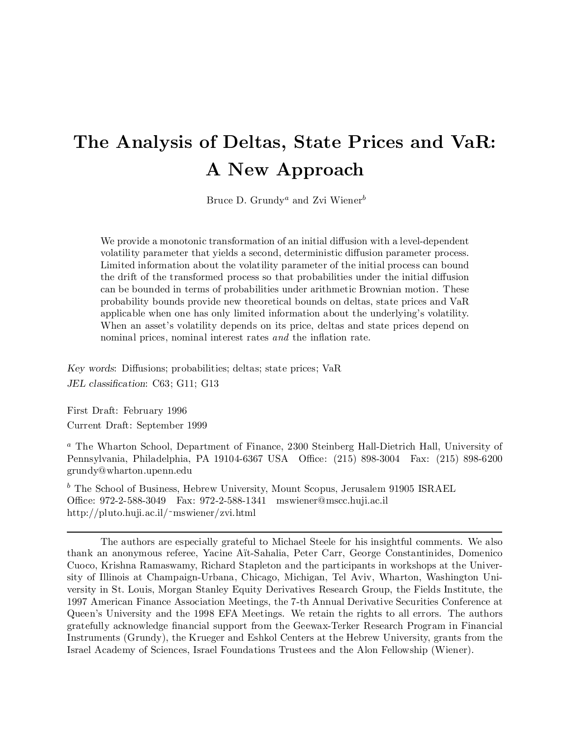# The Analysis of Deltas, State Prices and VaR: A New Approach

Bruce D. Grundy<sup>a</sup> and Zvi Wiener<sup>b</sup>

We provide a monotonic transformation of an initial diffusion with a level-dependent volatility parameter that yields a second, deterministic diffusion parameter process. Limited information about the volatility parameter of the initial process can bound the drift of the transformed process so that probabilities under the initial diffusion can be bounded in terms of probabilities under arithmetic Brownian motion. These probability bounds provide new theoretical bounds on deltas, state prices and VaR applicable when one has only limited information about the underlying's volatility. When an asset's volatility depends on its price, deltas and state prices depend on nominal prices, nominal interest rates and the inflation rate.

Key words: Diffusions; probabilities; deltas; state prices; VaR JEL classification: C63; G11; G13

First Draft: February 1996 Current Draft: September 1999

<sup>a</sup> The Wharton School, Department of Finance, 2300 Steinberg Hall-Dietrich Hall, University of Pennsylvania, Philadelphia, PA 19104-6367 USA Office: (215) 898-3004 Fax: (215) 898-6200 grundy@wharton.upenn.edu

 $<sup>b</sup>$  The School of Business, Hebrew University, Mount Scopus, Jerusalem 91905 ISRAEL</sup> Office: 972-2-588-3049 Fax: 972-2-588-1341 mswiener@mscc.huji.ac.il http://pluto.huji.ac.il/~mswiener/zvi.html

The authors are especially grateful to Michael Steele for his insightful comments. We also thank an anonymous referee, Yacine Ait-Sahalia, Peter Carr, George Constantinides, Domenico Cuoco, Krishna Ramaswamy, Richard Stapleton and the participants in workshops at the University of Illinois at Champaign-Urbana, Chicago, Michigan, Tel Aviv, Wharton, Washington University in St. Louis, Morgan Stanley Equity Derivatives Research Group, the Fields Institute, the 1997 American Finance Association Meetings, the 7-th Annual Derivative Securities Conference at Queen's University and the 1998 EFA Meetings. We retain the rights to all errors. The authors gratefully acknowledge financial support from the Geewax-Terker Research Program in Financial Instruments (Grundy), the Krueger and Eshkol Centers at the Hebrew University, grants from the Israel Academy of Sciences, Israel Foundations Trustees and the Alon Fellowship (Wiener).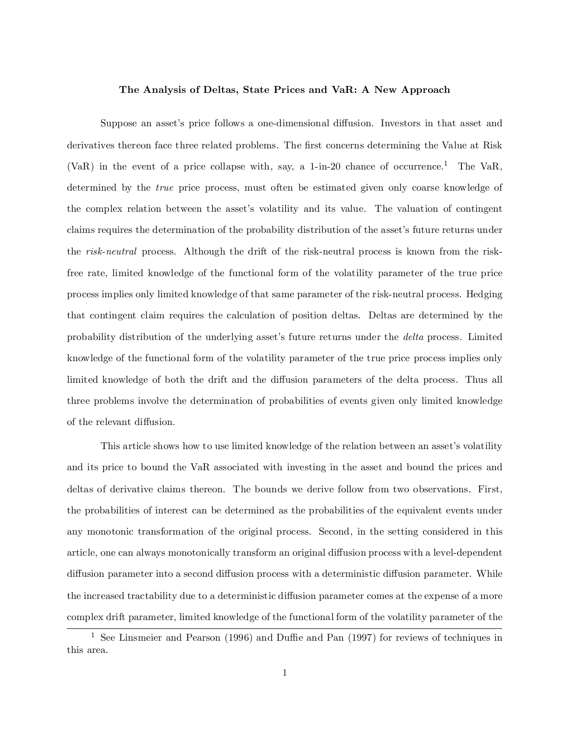#### The Analysis of Deltas, State Prices and VaR: A New Approach

Suppose an asset's price follows a one-dimensional diffusion. Investors in that asset and derivatives thereon face three related problems. The first concerns determining the Value at Risk (VaR) in the event of a price collapse with, say, a 1-in-20 chance of occurrence.<sup>1</sup> The VaR, determined by the true price process, must often be estimated given only coarse knowledge of the complex relation between the asset's volatility and its value. The valuation of contingent claims requires the determination of the probability distribution of the asset's future returns under the risk-neutral process. Although the drift of the risk-neutral process is known from the riskfree rate, limited knowledge of the functional form of the volatility parameter of the true price process implies only limited knowledge of that same parameter of the risk-neutral process. Hedging that contingent claim requires the calculation of position deltas. Deltas are determined by the probability distribution of the underlying asset's future returns under the delta process. Limited knowledge of the functional form of the volatility parameter of the true price process implies only limited knowledge of both the drift and the diffusion parameters of the delta process. Thus all three problems involve the determination of probabilities of events given only limited knowledge of the relevant diffusion.

This article shows how to use limited knowledge of the relation between an asset's volatility and its price to bound the VaR associated with investing in the asset and bound the prices and deltas of derivative claims thereon. The bounds we derive follow from two observations. First, the probabilities of interest can be determined as the probabilities of the equivalent events under any monotonic transformation of the original process. Second, in the setting considered in this article, one can always monotonically transform an original diffusion process with a level-dependent diffusion parameter into a second diffusion process with a deterministic diffusion parameter. While the increased tractability due to a deterministic diffusion parameter comes at the expense of a more complex drift parameter, limited knowledge of the functional form of the volatility parameter of the

<sup>&</sup>lt;sup>1</sup> See Linsmeier and Pearson (1996) and Duffie and Pan (1997) for reviews of techniques in this area.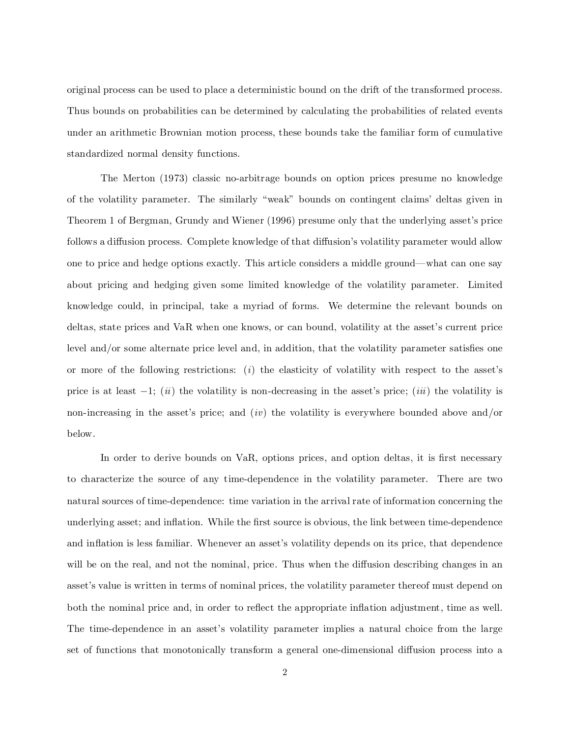original process can be used to place a deterministic bound on the drift of the transformed process. Thus bounds on probabilities can be determined by calculating the probabilities of related events under an arithmetic Brownian motion process, these bounds take the familiar form of cumulative standardized normal density functions.

The Merton (1973) classic no-arbitrage bounds on option prices presume no knowledge of the volatility parameter. The similarly \weak" bounds on contingent claims' deltas given in Theorem 1 of Bergman, Grundy and Wiener (1996) presume only that the underlying asset's price follows a diffusion process. Complete knowledge of that diffusion's volatility parameter would allow one to price and hedge options exactly. This article considers a middle ground—what can one say about pricing and hedging given some limited knowledge of the volatility parameter. Limited knowledge could, in principal, take a myriad of forms. We determine the relevant bounds on deltas, state prices and VaR when one knows, or can bound, volatility at the asset's current price level and/or some alternate price level and, in addition, that the volatility parameter satisfies one or more of the following restrictions: (i) the elasticity of volatility with respect to the asset's price is at least  $-1$ ; (ii) the volatility is non-decreasing in the asset's price; (iii) the volatility is non-increasing in the asset's price; and  $(iv)$  the volatility is everywhere bounded above and/or below.

In order to derive bounds on VaR, options prices, and option deltas, it is first necessary to characterize the source of any time-dependence in the volatility parameter. There are two natural sources of time-dependence: time variation in the arrival rate of information concerning the underlying asset; and inflation. While the first source is obvious, the link between time-dependence and inflation is less familiar. Whenever an asset's volatility depends on its price, that dependence will be on the real, and not the nominal, price. Thus when the diffusion describing changes in an asset's value is written in terms of nominal prices, the volatility parameter thereof must depend on both the nominal price and, in order to reflect the appropriate inflation adjustment, time as well. The time-dependence in an asset's volatility parameter implies a natural choice from the large set of functions that monotonically transform a general one-dimensional diffusion process into a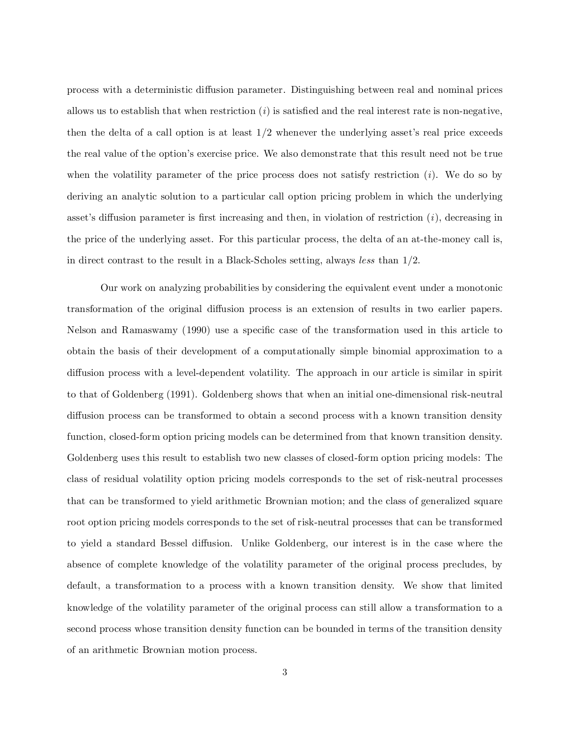process with a deterministic diffusion parameter. Distinguishing between real and nominal prices allows us to establish that when restriction  $(i)$  is satisfied and the real interest rate is non-negative, then the delta of a call option is at least  $1/2$  whenever the underlying asset's real price exceeds the real value of the option's exercise price. We also demonstrate that this result need not be true when the volatility parameter of the price process does not satisfy restriction  $(i)$ . We do so by deriving an analytic solution to a particular call option pricing problem in which the underlying asset's diffusion parameter is first increasing and then, in violation of restriction  $(i)$ , decreasing in the price of the underlying asset. For this particular process, the delta of an at-the-money call is, in direct contrast to the result in a Black-Scholes setting, always less than 1/2.

Our work on analyzing probabilities by considering the equivalent event under a monotonic transformation of the original diffusion process is an extension of results in two earlier papers. Nelson and Ramaswamy (1990) use a specific case of the transformation used in this article to obtain the basis of their development of a computationally simple binomial approximation to a diffusion process with a level-dependent volatility. The approach in our article is similar in spirit to that of Goldenberg (1991). Goldenberg shows that when an initial one-dimensional risk-neutral diffusion process can be transformed to obtain a second process with a known transition density function, closed-form option pricing models can be determined from that known transition density. Goldenberg uses this result to establish two new classes of closed-form option pricing models: The class of residual volatility option pricing models corresponds to the set of risk-neutral processes that can be transformed to yield arithmetic Brownian motion; and the class of generalized square root option pricing models corresponds to the set of risk-neutral processes that can be transformed to yield a standard Bessel diffusion. Unlike Goldenberg, our interest is in the case where the absence of complete knowledge of the volatility parameter of the original process precludes, by default, a transformation to a process with a known transition density. We show that limited knowledge of the volatility parameter of the original process can still allow a transformation to a second process whose transition density function can be bounded in terms of the transition density of an arithmetic Brownian motion process.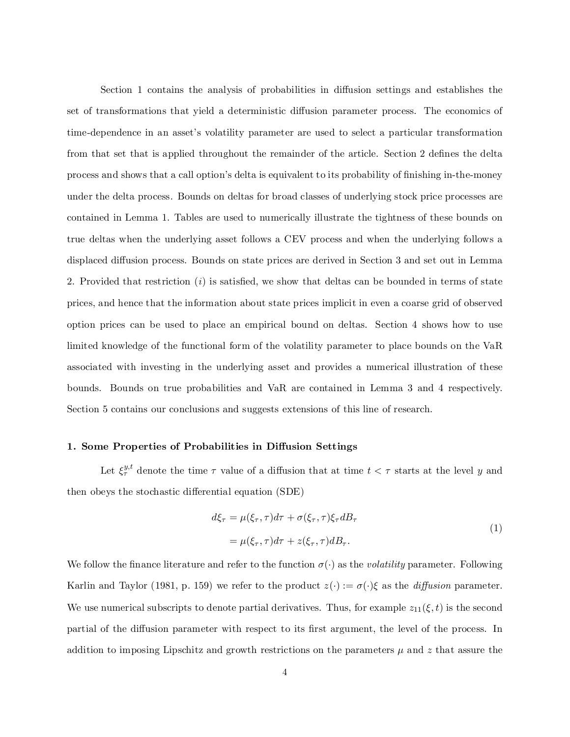Section 1 contains the analysis of probabilities in diffusion settings and establishes the set of transformations that yield a deterministic diffusion parameter process. The economics of time-dependence in an asset's volatility parameter are used to select a particular transformation from that set that is applied throughout the remainder of the article. Section 2 defines the delta process and shows that a call option's delta is equivalent to its probability of finishing in-the-money under the delta process. Bounds on deltas for broad classes of underlying stock price processes are contained in Lemma 1. Tables are used to numerically illustrate the tightness of these bounds on true deltas when the underlying asset follows a CEV process and when the underlying follows a displaced diffusion process. Bounds on state prices are derived in Section 3 and set out in Lemma 2. Provided that restriction  $(i)$  is satisfied, we show that deltas can be bounded in terms of state prices, and hence that the information about state prices implicit in even a coarse grid of observed option prices can be used to place an empirical bound on deltas. Section 4 shows how to use limited knowledge of the functional form of the volatility parameter to place bounds on the VaR associated with investing in the underlying asset and provides a numerical illustration of these bounds. Bounds on true probabilities and VaR are contained in Lemma 3 and 4 respectively. Section 5 contains our conclusions and suggests extensions of this line of research.

# 1. Some Properties of Probabilities in Diffusion Settings

Let  $\xi_{\tau}^{y,t}$  denote the time  $\tau$  value of a diffusion that at time  $t < \tau$  starts at the level y and then obeys the stochastic differential equation (SDE)

$$
d\xi_{\tau} = \mu(\xi_{\tau}, \tau)d\tau + \sigma(\xi_{\tau}, \tau)\xi_{\tau}dB_{\tau}
$$
  
=  $\mu(\xi_{\tau}, \tau)d\tau + z(\xi_{\tau}, \tau)dB_{\tau}.$  (1)

We follow the finance literature and refer to the function  $\sigma(\cdot)$  as the *volatility* parameter. Following Karlin and Taylor (1981, p. 159) we refer to the product  $z(\cdot) := \sigma(\cdot)\xi$  as the *diffusion* parameter. We use numerical subscripts to denote partial derivatives. Thus, for example  $z_{11}(\xi,t)$  is the second partial of the diffusion parameter with respect to its first argument, the level of the process. In addition to imposing Lipschitz and growth restrictions on the parameters  $\mu$  and z that assure the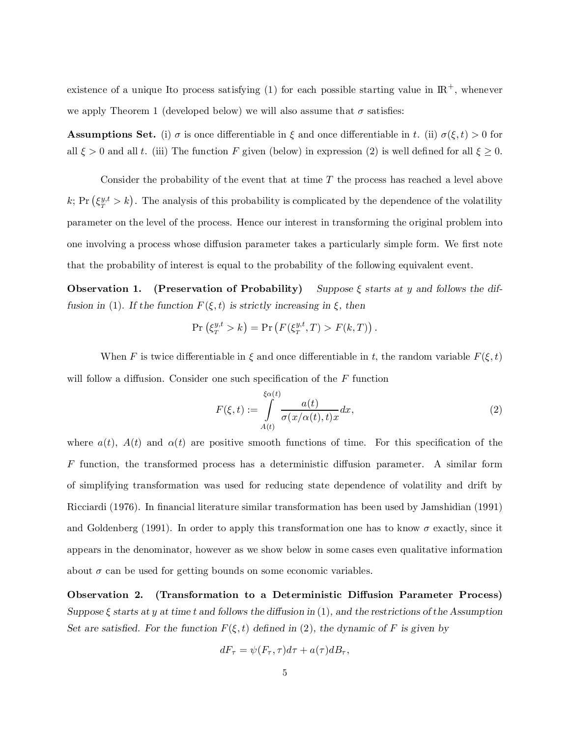existence of a unique Ito process satisfying (1) for each possible starting value in  $\mathbb{R}^+$ , whenever we apply Theorem 1 (developed below) we will also assume that  $\sigma$  satisfies:

**Assumptions Set.** (i)  $\sigma$  is once differentiable in  $\xi$  and once differentiable in t. (ii)  $\sigma(\xi, t) > 0$  for all  $\xi > 0$  and all t. (iii) The function F given (below) in expression (2) is well defined for all  $\xi \ge 0$ .

Consider the probability of the event that at time  $T$  the process has reached a level above k; Pr  $(\xi_T^{y,t} > k)$ . The analysis of this probability is complicated by the dependence of the volatility parameter on the level of the process. Hence our interest in transforming the original problem into one involving a process whose diffusion parameter takes a particularly simple form. We first note that the probability of interest is equal to the probability of the following equivalent event.

**Observation 1.** (Preservation of Probability) Suppose  $\xi$  starts at y and follows the diffusion in (1). If the function  $F(\xi, t)$  is strictly increasing in  $\xi$ , then

$$
\Pr\left(\xi_T^{y,t} > k\right) = \Pr\left(F(\xi_T^{y,t},T) > F(k,T)\right).
$$

When F is twice differentiable in  $\xi$  and once differentiable in t, the random variable  $F(\xi,t)$ will follow a diffusion. Consider one such specification of the  $F$  function

$$
F(\xi, t) := \int_{A(t)}^{\xi \alpha(t)} \frac{a(t)}{\sigma(x/\alpha(t), t)x} dx,
$$
\n(2)

where  $a(t)$ ,  $A(t)$  and  $\alpha(t)$  are positive smooth functions of time. For this specification of the  $F$  function, the transformed process has a deterministic diffusion parameter. A similar form of simplifying transformation was used for reducing state dependence of volatility and drift by Ricciardi (1976). In financial literature similar transformation has been used by Jamshidian (1991) and Goldenberg (1991). In order to apply this transformation one has to know  $\sigma$  exactly, since it appears in the denominator, however as we show below in some cases even qualitative information about  $\sigma$  can be used for getting bounds on some economic variables.

Observation 2. (Transformation to a Deterministic Diffusion Parameter Process) Suppose  $\xi$  starts at y at time t and follows the diffusion in (1), and the restrictions of the Assumption Set are satisfied. For the function  $F(\xi,t)$  defined in (2), the dynamic of F is given by

$$
dF_{\tau} = \psi(F_{\tau}, \tau)d\tau + a(\tau)dB_{\tau}
$$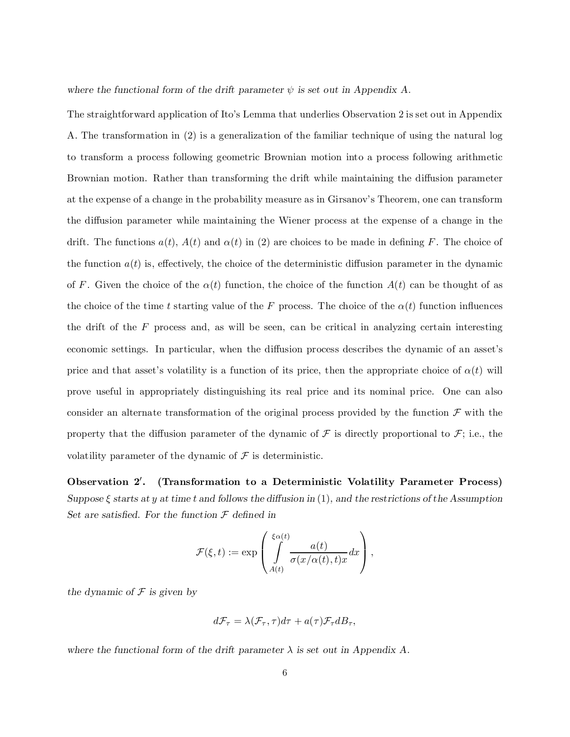where the functional form of the drift parameter  $\psi$  is set out in Appendix A.

The straightforward application of Ito's Lemma that underlies Observation 2 is set out in Appendix A. The transformation in (2) is a generalization of the familiar technique of using the natural log to transform a process following geometric Brownian motion into a process following arithmetic Brownian motion. Rather than transforming the drift while maintaining the diffusion parameter at the expense of a change in the probability measure as in Girsanov's Theorem, one can transform the diffusion parameter while maintaining the Wiener process at the expense of a change in the drift. The functions  $a(t)$ ,  $A(t)$  and  $\alpha(t)$  in (2) are choices to be made in defining F. The choice of the function  $a(t)$  is, effectively, the choice of the deterministic diffusion parameter in the dynamic of F. Given the choice of the  $\alpha(t)$  function, the choice of the function  $A(t)$  can be thought of as the choice of the time t starting value of the F process. The choice of the  $\alpha(t)$  function influences the drift of the  $F$  process and, as will be seen, can be critical in analyzing certain interesting economic settings. In particular, when the diffusion process describes the dynamic of an asset's price and that asset's volatility is a function of its price, then the appropriate choice of  $\alpha(t)$  will prove useful in appropriately distinguishing its real price and its nominal price. One can also consider an alternate transformation of the original process provided by the function  $\mathcal F$  with the property that the diffusion parameter of the dynamic of  $\mathcal F$  is directly proportional to  $\mathcal F$ ; i.e., the volatility parameter of the dynamic of  $\mathcal F$  is deterministic.

Observation 2' . (Transformation to a Deterministic Volatility Parameter Process) Suppose  $\xi$  starts at y at time t and follows the diffusion in (1), and the restrictions of the Assumption Set are satisfied. For the function  $\mathcal F$  defined in

$$
\mathcal{F}(\xi,t):=\exp\left(\int\limits_{A(t)}^{\xi\alpha(t)}\!\!\!\!\frac{a(t)}{\sigma(x/\alpha(t),t)x}dx\right),
$$

the dynamic of  $\mathcal F$  is given by

$$
d\mathcal{F}_{\tau} = \lambda(\mathcal{F}_{\tau}, \tau)d\tau + a(\tau)\mathcal{F}_{\tau}dB_{\tau},
$$

where the functional form of the drift parameter  $\lambda$  is set out in Appendix A.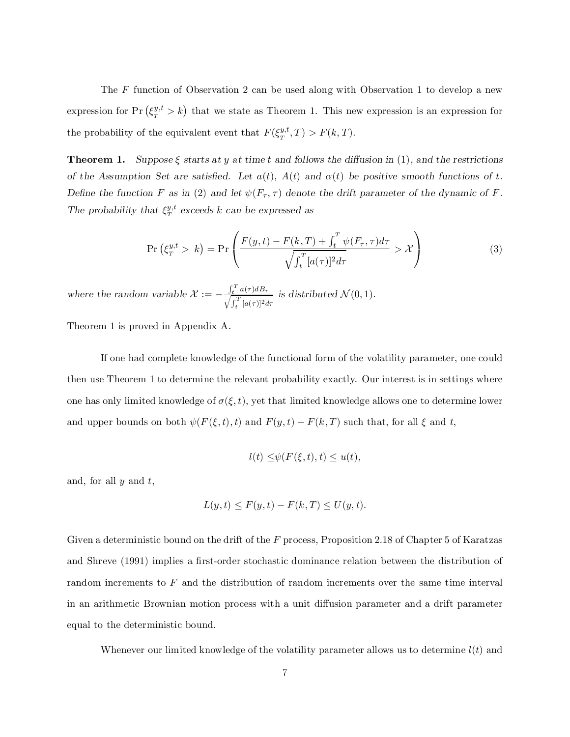The F function of Observation 2 can be used along with Observation 1 to develop a new expression for  $Pr(\xi_T^{y,t} > k)$  that we state as Theorem 1. This new expression is an expression for the probability of the equivalent event that  $F(\xi_T^{y,t},T) > F(k,T)$ .

**Theorem 1.** Suppose  $\xi$  starts at y at time t and follows the diffusion in (1), and the restrictions of the Assumption Set are satisfied. Let  $a(t)$ ,  $A(t)$  and  $\alpha(t)$  be positive smooth functions of t. Define the function F as in (2) and let  $\psi(F_\tau, \tau)$  denote the drift parameter of the dynamic of F. The probability that  $\xi_T^{y,t}$  exceeds k can be expressed as

$$
\Pr\left(\xi_T^{y,t} > k\right) = \Pr\left(\frac{F(y,t) - F(k,T) + \int_t^T \psi(F_\tau, \tau) d\tau}{\sqrt{\int_t^T [a(\tau)]^2 d\tau}} > \mathcal{X}\right) \tag{3}
$$

where the random variable  $\mathcal{X} := -\frac{\int_t^T a(\tau) d\tau}{\int_t^T f(\tau) d\tau}$  $\frac{d}{dt} \int_{t}^{T} [a(\tau)]^2 d\tau$  is distributed  $\mathcal{N}(0, 1)$ .

Theorem 1 is proved in Appendix A.

If one had complete knowledge of the functional form of the volatility parameter, one could then use Theorem 1 to determine the relevant probability exactly. Our interest is in settings where one has only limited knowledge of  $\sigma(\xi, t)$ , yet that limited knowledge allows one to determine lower and upper bounds on both  $\psi(F(\xi,t),t)$  and  $F(y,t) - F(k,T)$  such that, for all  $\xi$  and  $t$ ,

$$
l(t) \le \psi(F(\xi, t), t) \le u(t),
$$

and, for all  $y$  and  $t$ ,

$$
L(y,t) \le F(y,t) - F(k,T) \le U(y,t).
$$

Given a deterministic bound on the drift of the F process, Proposition 2.18 of Chapter 5 of Karatzas and Shreve (1991) implies a first-order stochastic dominance relation between the distribution of random increments to F and the distribution of random increments over the same time interval in an arithmetic Brownian motion process with a unit diffusion parameter and a drift parameter equal to the deterministic bound.

Whenever our limited knowledge of the volatility parameter allows us to determine  $l(t)$  and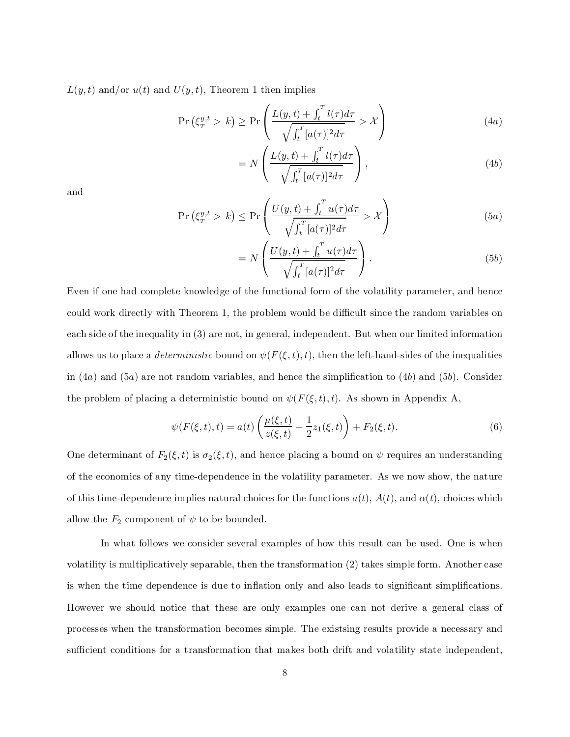$L(y,t)$  and/or  $u(t)$  and  $U(y,t)$ , Theorem 1 then implies

$$
\Pr\left(\xi_T^{y,t} > k\right) \ge \Pr\left(\frac{L(y,t) + \int_t^T l(\tau)d\tau}{\sqrt{\int_t^T [a(\tau)]^2 d\tau}} > \mathcal{X}\right) \tag{4a}
$$

$$
= N\left(\frac{L(y,t) + \int_t^T l(\tau)d\tau}{\sqrt{\int_t^T [a(\tau)]^2 d\tau}}\right),
$$
\n(4b)

and

$$
\Pr\left(\xi_T^{y,t} > k\right) \le \Pr\left(\frac{U(y,t) + \int_t^T u(\tau)d\tau}{\sqrt{\int_t^T [a(\tau)]^2 d\tau}} > \mathcal{X}\right) \tag{5a}
$$

$$
= N\left(\frac{U(y,t) + \int_t^T u(\tau)d\tau}{\sqrt{\int_t^T [a(\tau)]^2 d\tau}}\right).
$$
\n(5b)

Even if one had complete knowledge of the functional form of the volatility parameter, and hence could work directly with Theorem 1, the problem would be difficult since the random variables on each side of the inequality in (3) are not, in general, independent. But when our limited information allows us to place a *deterministic* bound on  $\psi(F(\xi,t),t)$ , then the left-hand-sides of the inequalities in  $(4a)$  and  $(5a)$  are not random variables, and hence the simplification to  $(4b)$  and  $(5b)$ . Consider the problem of placing a deterministic bound on  $\psi(F(\xi,t),t)$ . As shown in Appendix A,

$$
\psi(F(\xi, t), t) = a(t) \left( \frac{\mu(\xi, t)}{z(\xi, t)} - \frac{1}{2} z_1(\xi, t) \right) + F_2(\xi, t). \tag{6}
$$

One determinant of  $F_2(\xi,t)$  is  $\sigma_2(\xi,t)$ , and hence placing a bound on  $\psi$  requires an understanding of the economics of any time-dependence in the volatility parameter. As we now show, the nature of this time-dependence implies natural choices for the functions  $a(t)$ ,  $A(t)$ , and  $\alpha(t)$ , choices which allow the  $F_2$  component of  $\psi$  to be bounded.

In what follows we consider several examples of how this result can be used. One is when volatility is multiplicatively separable, then the transformation (2) takes simple form. Another case is when the time dependence is due to inflation only and also leads to significant simplifications. However we should notice that these are only examples one can not derive a general class of processes when the transformation becomes simple. The existsing results provide a necessary and sufficient conditions for a transformation that makes both drift and volatility state independent,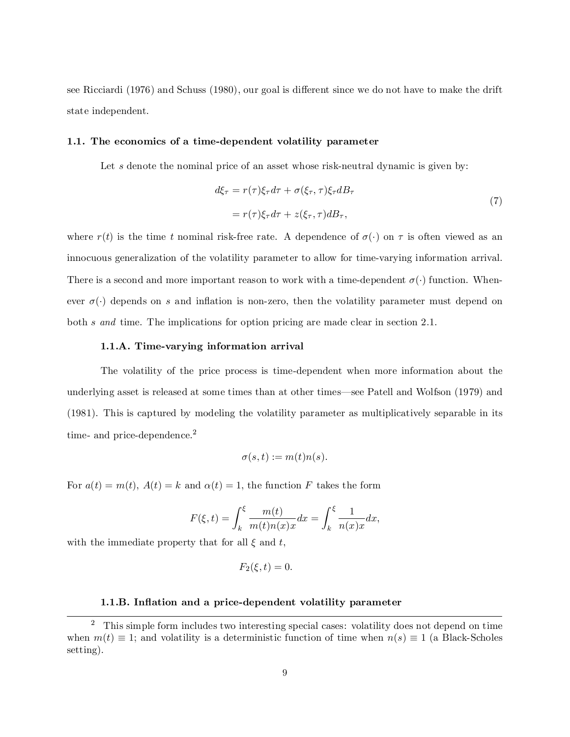see Ricciardi (1976) and Schuss (1980), our goal is different since we do not have to make the drift state independent.

#### 1.1. The economics of a time-dependent volatility parameter

Let s denote the nominal price of an asset whose risk-neutral dynamic is given by:

$$
d\xi_{\tau} = r(\tau)\xi_{\tau}d\tau + \sigma(\xi_{\tau}, \tau)\xi_{\tau}dB_{\tau}
$$
  
=  $r(\tau)\xi_{\tau}d\tau + z(\xi_{\tau}, \tau)dB_{\tau},$  (7)

where  $r(t)$  is the time t nominal risk-free rate. A dependence of  $\sigma(\cdot)$  on  $\tau$  is often viewed as an innocuous generalization of the volatility parameter to allow for time-varying information arrival. There is a second and more important reason to work with a time-dependent  $\sigma(\cdot)$  function. Whenever  $\sigma(\cdot)$  depends on s and inflation is non-zero, then the volatility parameter must depend on both s and time. The implications for option pricing are made clear in section 2.1.

#### 1.1.A. Time-varying information arrival

The volatility of the price process is time-dependent when more information about the underlying asset is released at some times than at other times—see Patell and Wolfson (1979) and (1981). This is captured by modeling the volatility parameter as multiplicatively separable in its time- and price-dependence.<sup>2</sup>

$$
\sigma(s,t):=m(t)n(s).
$$

For  $a(t) = m(t)$ ,  $A(t) = k$  and  $\alpha(t) = 1$ , the function F takes the form

$$
F(\xi, t) = \int_k^{\xi} \frac{m(t)}{m(t)n(x)x} dx = \int_k^{\xi} \frac{1}{n(x)x} dx,
$$

with the immediate property that for all  $\xi$  and  $t$ ,

$$
F_2(\xi, t) = 0.
$$

#### 1.1.B. Inflation and a price-dependent volatility parameter

<sup>&</sup>lt;sup>2</sup> This simple form includes two interesting special cases: volatility does not depend on time when  $m(t) \equiv 1$ ; and volatility is a deterministic function of time when  $n(s) \equiv 1$  (a Black-Scholes setting).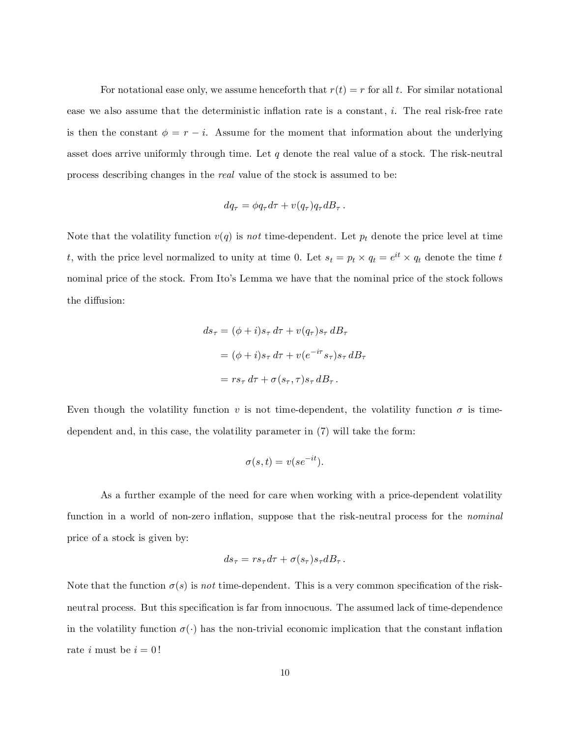For notational ease only, we assume henceforth that  $r(t) = r$  for all t. For similar notational ease we also assume that the deterministic inflation rate is a constant,  $i$ . The real risk-free rate is then the constant  $\phi = r - i$ . Assume for the moment that information about the underlying asset does arrive uniformly through time. Let  $q$  denote the real value of a stock. The risk-neutral process describing changes in the real value of the stock is assumed to be:

$$
dq_{\tau} = \phi q_{\tau} d\tau + v(q_{\tau}) q_{\tau} dB_{\tau} .
$$

Note that the volatility function  $v(q)$  is not time-dependent. Let  $p_t$  denote the price level at time t, with the price level normalized to unity at time 0. Let  $s_t = p_t \times q_t = e^{it} \times q_t$  denote the time t nominal price of the stock. From Ito's Lemma we have that the nominal price of the stock follows the diffusion:

$$
ds_{\tau} = (\phi + i)s_{\tau} d\tau + v(q_{\tau})s_{\tau} dB_{\tau}
$$
  
=  $(\phi + i)s_{\tau} d\tau + v(e^{-i\tau} s_{\tau})s_{\tau} dB_{\tau}$   
=  $rs_{\tau} d\tau + \sigma(s_{\tau}, \tau)s_{\tau} dB_{\tau}$ .

Even though the volatility function v is not time-dependent, the volatility function  $\sigma$  is timedependent and, in this case, the volatility parameter in (7) will take the form:

$$
\sigma(s,t) = v(se^{-it}).
$$

As a further example of the need for care when working with a price-dependent volatility function in a world of non-zero inflation, suppose that the risk-neutral process for the nominal price of a stock is given by:

$$
ds_{\tau} = rs_{\tau}d\tau + \sigma(s_{\tau})s_{\tau}dB_{\tau}.
$$

Note that the function  $\sigma(s)$  is not time-dependent. This is a very common specification of the riskneutral process. But this specification is far from innocuous. The assumed lack of time-dependence in the volatility function  $\sigma(\cdot)$  has the non-trivial economic implication that the constant inflation rate *i* must be  $i = 0!$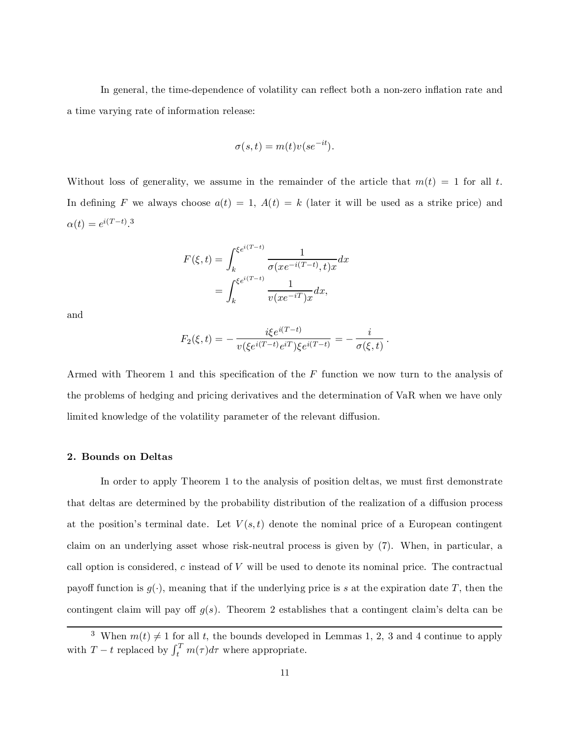In general, the time-dependence of volatility can reflect both a non-zero inflation rate and a time varying rate of information release:

$$
\sigma(s,t) = m(t)v(se^{-it}).
$$

Without loss of generality, we assume in the remainder of the article that  $m(t) = 1$  for all t. In defining F we always choose  $a(t) = 1$ ,  $A(t) = k$  (later it will be used as a strike price) and  $\alpha(t) = e^{i(T-t)}$ .<sup>3</sup>

$$
F(\xi, t) = \int_{k}^{\xi e^{i(T-t)}} \frac{1}{\sigma(xe^{-i(T-t)}, t)x} dx
$$

$$
= \int_{k}^{\xi e^{i(T-t)}} \frac{1}{v(xe^{-iT})x} dx,
$$

and

$$
F_2(\xi,t) = -\frac{i\xi e^{i(T-t)}}{v(\xi e^{i(T-t)}e^{iT})\xi e^{i(T-t)}} = -\frac{i}{\sigma(\xi,t)}.
$$

Armed with Theorem 1 and this specification of the  $F$  function we now turn to the analysis of the problems of hedging and pricing derivatives and the determination of VaR when we have only limited knowledge of the volatility parameter of the relevant diffusion.

#### 2. Bounds on Deltas

In order to apply Theorem 1 to the analysis of position deltas, we must first demonstrate that deltas are determined by the probability distribution of the realization of a diffusion process at the position's terminal date. Let  $V(s,t)$  denote the nominal price of a European contingent claim on an underlying asset whose risk-neutral process is given by (7). When, in particular, a call option is considered, c instead of  $V$  will be used to denote its nominal price. The contractual payoff function is  $g(\cdot)$ , meaning that if the underlying price is s at the expiration date T, then the contingent claim will pay off  $g(s)$ . Theorem 2 establishes that a contingent claim's delta can be

<sup>&</sup>lt;sup>3</sup> When  $m(t) \neq 1$  for all t, the bounds developed in Lemmas 1, 2, 3 and 4 continue to apply with  $T-t$  replaced by  $\int_t^T m(\tau) d\tau$  where appropriate.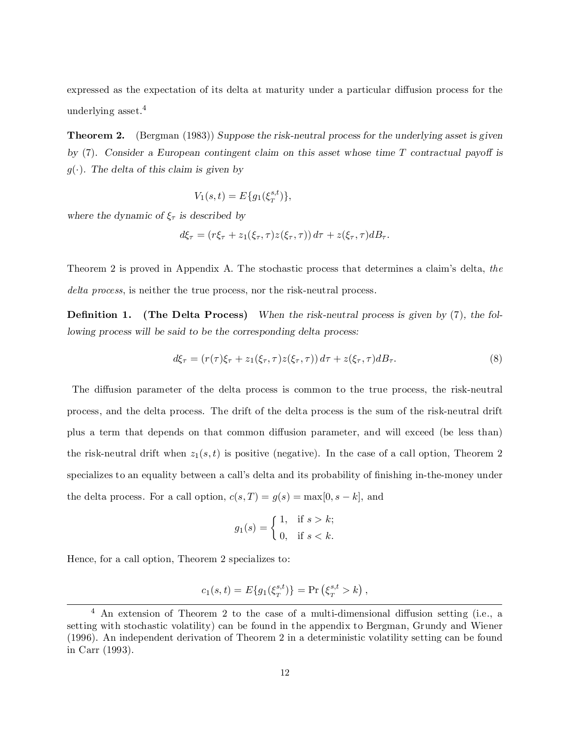expressed as the expectation of its delta at maturity under a particular diffusion process for the underlying asset. 4

**Theorem 2.** (Bergman (1983)) Suppose the risk-neutral process for the underlying asset is given by  $(7)$ . Consider a European contingent claim on this asset whose time T contractual payoff is  $g(\cdot)$ . The delta of this claim is given by

$$
V_1(s,t) = E\{g_1(\xi_T^{s,t})\},\,
$$

where the dynamic of  $\xi_{\tau}$  is described by

$$
d\xi_{\tau} = (r\xi_{\tau} + z_1(\xi_{\tau}, \tau)z(\xi_{\tau}, \tau)) d\tau + z(\xi_{\tau}, \tau)dB_{\tau}.
$$

Theorem 2 is proved in Appendix A. The stochastic process that determines a claim's delta, the delta process, is neither the true process, nor the risk-neutral process.

**Definition 1.** (The Delta Process) When the risk-neutral process is given by  $(7)$ , the following process will be said to be the corresponding delta process:

$$
d\xi_{\tau} = (r(\tau)\xi_{\tau} + z_1(\xi_{\tau}, \tau)z(\xi_{\tau}, \tau)) d\tau + z(\xi_{\tau}, \tau)dB_{\tau}.
$$
\n(8)

The diffusion parameter of the delta process is common to the true process, the risk-neutral process, and the delta process. The drift of the delta process is the sum of the risk-neutral drift plus a term that depends on that common diffusion parameter, and will exceed (be less than) the risk-neutral drift when  $z_1(s,t)$  is positive (negative). In the case of a call option, Theorem 2 specializes to an equality between a call's delta and its probability of finishing in-the-money under the delta process. For a call option,  $c(s,T) = g(s) = \max[0, s - k]$ , and

$$
g_1(s) = \begin{cases} 1, & \text{if } s > k; \\ 0, & \text{if } s < k. \end{cases}
$$

Hence, for a call option, Theorem 2 specializes to:

$$
c_1(s,t) = E\{g_1(\xi_T^{s,t})\} = \Pr\left(\xi_T^{s,t} > k\right),\,
$$

 $4$  An extension of Theorem 2 to the case of a multi-dimensional diffusion setting (i.e., a setting with stochastic volatility) can be found in the appendix to Bergman, Grundy and Wiener (1996). An independent derivation of Theorem 2 in a deterministic volatility setting can be found in Carr (1993).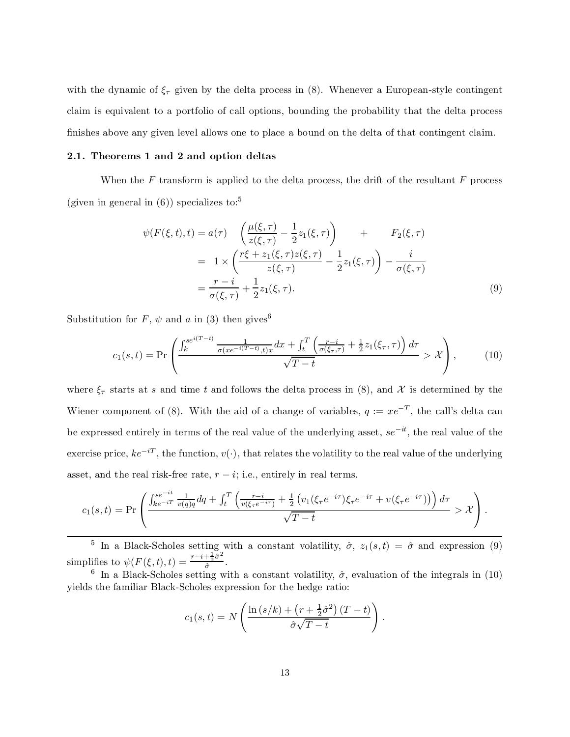with the dynamic of  $\xi_{\tau}$  given by the delta process in (8). Whenever a European-style contingent claim is equivalent to a portfolio of call options, bounding the probability that the delta process finishes above any given level allows one to place a bound on the delta of that contingent claim.

#### 2.1. Theorems 1 and 2 and option deltas

When the  $F$  transform is applied to the delta process, the drift of the resultant  $F$  process (given in general in  $(6)$ ) specializes to:<sup>5</sup>

$$
\psi(F(\xi, t), t) = a(\tau) \left( \frac{\mu(\xi, \tau)}{z(\xi, \tau)} - \frac{1}{2} z_1(\xi, \tau) \right) + F_2(\xi, \tau) \n= 1 \times \left( \frac{r\xi + z_1(\xi, \tau) z(\xi, \tau)}{z(\xi, \tau)} - \frac{1}{2} z_1(\xi, \tau) \right) - \frac{i}{\sigma(\xi, \tau)} \n= \frac{r - i}{\sigma(\xi, \tau)} + \frac{1}{2} z_1(\xi, \tau).
$$
\n(9)

Substitution for  $F, \psi$  and a in (3) then gives<sup>6</sup>

$$
c_1(s,t) = \Pr\left(\frac{\int_k^{se^{i(T-t)}} \frac{1}{\sigma(xe^{-i(T-t)},t)x} dx + \int_t^T \left(\frac{r-i}{\sigma(\xi_\tau,\tau)} + \frac{1}{2} z_1(\xi_\tau,\tau)\right) d\tau}{\sqrt{T-t}} > \mathcal{X}\right),\tag{10}
$$

where  $\xi_{\tau}$  starts at s and time t and follows the delta process in (8), and X is determined by the Wiener component of (8). With the aid of a change of variables,  $q := xe^{-T}$ , the call's delta can be expressed entirely in terms of the real value of the underlying asset,  $se^{-it}$ , the real value of the exercise price,  $ke^{-iT}$ , the function,  $v(\cdot)$ , that relates the volatility to the real value of the underlying asset, and the real risk-free rate,  $r - i$ ; i.e., entirely in real terms.

$$
c_1(s,t) = \Pr\left(\frac{\int_{ke^{-iT}}^{se^{-it}} \frac{1}{v(q)q} dq + \int_t^T \left(\frac{r-i}{v(\xi_\tau e^{-i\tau})} + \frac{1}{2} \left(v_1(\xi_\tau e^{-i\tau}) \xi_\tau e^{-i\tau} + v(\xi_\tau e^{-i\tau})\right)\right) d\tau}{\sqrt{T-t}} > \mathcal{X}\right).
$$

<sup>5</sup> In a Black-Scholes setting with a constant volatility,  $\hat{\sigma}$ ,  $z_1(s,t) = \hat{\sigma}$  and expression (9) simplifies to  $\psi(F(\xi,t),t) = \frac{r-i+\frac{1}{2}\hat{\sigma}^2}{\hat{\sigma}^2}$  $\frac{\frac{1}{2}a^{\frac{1}{2}}}{a}$ .

<sup>6</sup> In a Black-Scholes setting with a constant volatility,  $\hat{\sigma}$ , evaluation of the integrals in (10) yields the familiar Black-Scholes expression for the hedge ratio:

$$
c_1(s,t) = N\left(\frac{\ln(s/k) + \left(r + \frac{1}{2}\hat{\sigma}^2\right)(T-t)}{\hat{\sigma}\sqrt{T-t}}\right).
$$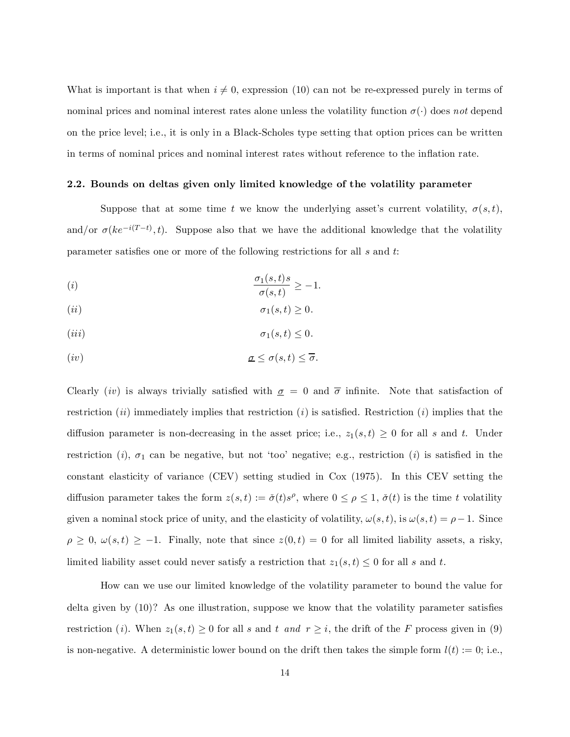What is important is that when  $i \neq 0$ , expression (10) can not be re-expressed purely in terms of nominal prices and nominal interest rates alone unless the volatility function  $\sigma(\cdot)$  does not depend on the price level; i.e., it is only in a Black-Scholes type setting that option prices can be written in terms of nominal prices and nominal interest rates without reference to the inflation rate.

#### 2.2. Bounds on deltas given only limited knowledge of the volatility parameter

Suppose that at some time t we know the underlying asset's current volatility,  $\sigma(s,t)$ , and/or  $\sigma(ke^{-i(T-t)},t)$ . Suppose also that we have the additional knowledge that the volatility parameter satisfies one or more of the following restrictions for all  $s$  and  $t$ :

$$
\frac{\sigma_1(s,t)s}{\sigma(s,t)} \ge -1.
$$

$$
(ii) \t\t \sigma_1(s,t) \ge 0.
$$

$$
(iii) \t\t \sigma_1(s,t) \le 0.
$$

(iv) æ · æ(s;t) · æ:

Clearly (iv) is always trivially satisfied with  $\sigma = 0$  and  $\bar{\sigma}$  infinite. Note that satisfaction of restriction (i) immediately implies that restriction (i) is satisfied. Restriction (i) implies that the diffusion parameter is non-decreasing in the asset price; i.e.,  $z_1(s,t) \geq 0$  for all s and t. Under restriction (i),  $\sigma_1$  can be negative, but not 'too' negative; e.g., restriction (i) is satisfied in the constant elasticity of variance (CEV) setting studied in Cox (1975). In this CEV setting the diffusion parameter takes the form  $z(s,t) := \check{\sigma}(t)s^{\rho}$ , where  $0 \leq \rho \leq 1$ ,  $\check{\sigma}(t)$  is the time t volatility given a nominal stock price of unity, and the elasticity of volatility,  $\omega(s,t)$ , is  $\omega(s,t) = \rho - 1$ . Since  $\rho \geq 0$ ,  $\omega(s,t) \geq -1$ . Finally, note that since  $z(0,t) = 0$  for all limited liability assets, a risky, limited liability asset could never satisfy a restriction that  $z_1(s,t) \leq 0$  for all s and t.

How can we use our limited knowledge of the volatility parameter to bound the value for delta given by  $(10)$ ? As one illustration, suppose we know that the volatility parameter satisfies restriction (*i*). When  $z_1(s,t) \geq 0$  for all s and t and  $r \geq i$ , the drift of the F process given in (9) is non-negative. A deterministic lower bound on the drift then takes the simple form  $l(t) := 0$ ; i.e.,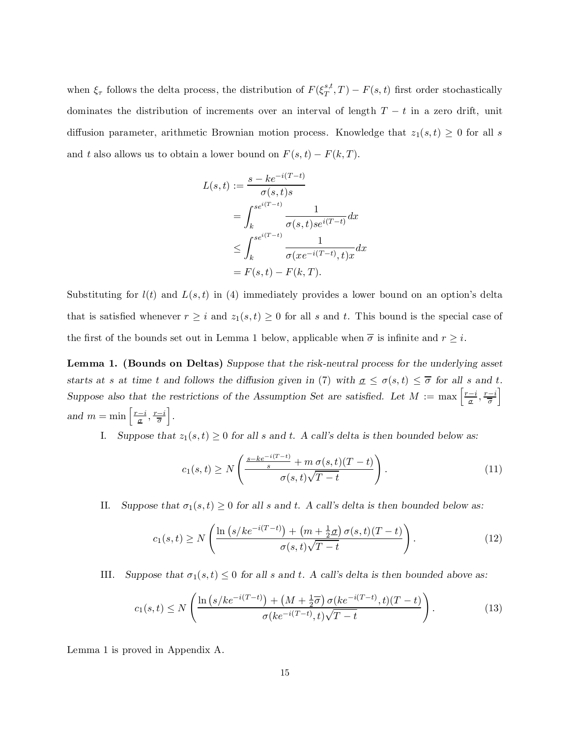when  $\xi_{\tau}$  follows the delta process, the distribution of  $F(\xi_T^{s,t})$  $T(T, T) - F(s, t)$  first order stochastically dominates the distribution of increments over an interval of length  $T - t$  in a zero drift, unit diffusion parameter, arithmetic Brownian motion process. Knowledge that  $z_1(s,t) \geq 0$  for all s and t also allows us to obtain a lower bound on  $F(s, t) - F(k, T)$ .

$$
L(s,t) := \frac{s - ke^{-i(T-t)}}{\sigma(s,t)s}
$$
  
= 
$$
\int_{k}^{se^{i(T-t)}} \frac{1}{\sigma(s,t)se^{i(T-t)}} dx
$$
  

$$
\leq \int_{k}^{se^{i(T-t)}} \frac{1}{\sigma(xe^{-i(T-t)},t)x} dx
$$
  
= 
$$
F(s,t) - F(k,T).
$$

Substituting for  $l(t)$  and  $L(s,t)$  in (4) immediately provides a lower bound on an option's delta that is satisfied whenever  $r \geq i$  and  $z_1(s,t) \geq 0$  for all s and t. This bound is the special case of the first of the bounds set out in Lemma 1 below, applicable when  $\overline{\sigma}$  is infinite and  $r \geq i$ .

Lemma 1. (Bounds on Deltas) Suppose that the risk-neutral process for the underlying asset starts at s at time t and follows the diffusion given in (7) with  $a \leq \sigma(s, t) \leq \overline{\sigma}$  for all s and t. Suppose also that the restrictions of the Assumption Set are satisfied. Let  $M := \max\left[\frac{r-i}{\sigma}, \frac{r-i}{\overline{\sigma}}\right]$ i and  $m = \min\left[\frac{r-i}{\sigma}, \frac{r-i}{\overline{\sigma}}\right]$ i .

I. Suppose that  $z_1(s,t) \geq 0$  for all s and t. A call's delta is then bounded below as:

$$
c_1(s,t) \ge N\left(\frac{\frac{s-k e^{-i(T-t)}}{s} + m \sigma(s,t)(T-t)}{\sigma(s,t)\sqrt{T-t}}\right). \tag{11}
$$

II. Suppose that  $\sigma_1(s,t) \geq 0$  for all s and t. A call's delta is then bounded below as:

$$
c_1(s,t) \ge N\left(\frac{\ln\left(s/ke^{-i(T-t)}\right) + \left(m + \frac{1}{2}\sigma\right)\sigma(s,t)(T-t)}{\sigma(s,t)\sqrt{T-t}}\right). \tag{12}
$$

III. Suppose that  $\sigma_1(s,t) \leq 0$  for all s and t. A call's delta is then bounded above as:

$$
c_1(s,t) \le N\left(\frac{\ln\left(s/ke^{-i(T-t)}\right) + \left(M + \frac{1}{2}\overline{\sigma}\right)\sigma(ke^{-i(T-t)},t)(T-t)}{\sigma(ke^{-i(T-t)},t)\sqrt{T-t}}\right). \tag{13}
$$

Lemma 1 is proved in Appendix A.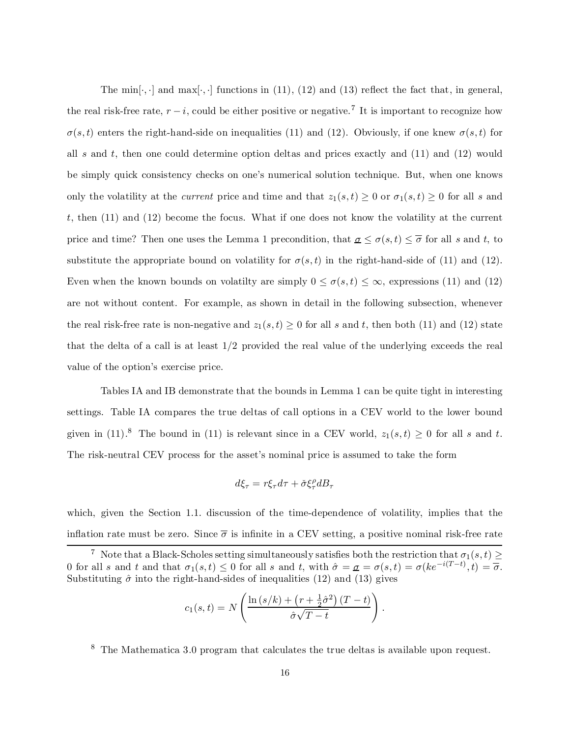The min $[\cdot, \cdot]$  and max $[\cdot, \cdot]$  functions in (11), (12) and (13) reflect the fact that, in general, the real risk-free rate,  $r - i$ , could be either positive or negative.<sup>7</sup> It is important to recognize how  $\sigma(s,t)$  enters the right-hand-side on inequalities (11) and (12). Obviously, if one knew  $\sigma(s,t)$  for all s and t, then one could determine option deltas and prices exactly and  $(11)$  and  $(12)$  would be simply quick consistency checks on one's numerical solution technique. But, when one knows only the volatility at the *current* price and time and that  $z_1(s,t) \geq 0$  or  $\sigma_1(s,t) \geq 0$  for all s and t, then  $(11)$  and  $(12)$  become the focus. What if one does not know the volatility at the current price and time? Then one uses the Lemma 1 precondition, that  $\underline{\sigma} \leq \sigma(s,t) \leq \overline{\sigma}$  for all s and t, to substitute the appropriate bound on volatility for  $\sigma(s,t)$  in the right-hand-side of (11) and (12). Even when the known bounds on volatilty are simply  $0 \le \sigma(s,t) \le \infty$ , expressions (11) and (12) are not without content. For example, as shown in detail in the following subsection, whenever the real risk-free rate is non-negative and  $z_1(s,t) \geq 0$  for all s and t, then both (11) and (12) state that the delta of a call is at least 1/2 provided the real value of the underlying exceeds the real value of the option's exercise price.

Tables IA and IB demonstrate that the bounds in Lemma 1 can be quite tight in interesting settings. Table IA compares the true deltas of call options in a CEV world to the lower bound given in (11).<sup>8</sup> The bound in (11) is relevant since in a CEV world,  $z_1(s,t) \geq 0$  for all s and t. The risk-neutral CEV process for the asset's nominal price is assumed to take the form

$$
d\xi_{\tau} = r\xi_{\tau}d\tau + \check{\sigma}\xi_{\tau}^{\rho}dB_{\tau}
$$

which, given the Section 1.1. discussion of the time-dependence of volatility, implies that the inflation rate must be zero. Since  $\bar{\sigma}$  is infinite in a CEV setting, a positive nominal risk-free rate

$$
c_1(s,t) = N\left(\frac{\ln\left(s/k\right) + \left(r + \frac{1}{2}\hat{\sigma}^2\right)(T-t)}{\hat{\sigma}\sqrt{T-t}}\right)
$$

:

<sup>8</sup> The Mathematica 3.0 program that calculates the true deltas is available upon request.

<sup>&</sup>lt;sup>7</sup> Note that a Black-Scholes setting simultaneously satisfies both the restriction that  $\sigma_1(s,t) \geq$ 0 for all s and t and that  $\sigma_1(s,t) \leq 0$  for all s and t, with  $\hat{\sigma} = \sigma = \sigma(s,t) = \sigma(ke^{-i(T-t)},t) = \overline{\sigma}$ . Substituting  $\hat{\sigma}$  into the right-hand-sides of inequalities (12) and (13) gives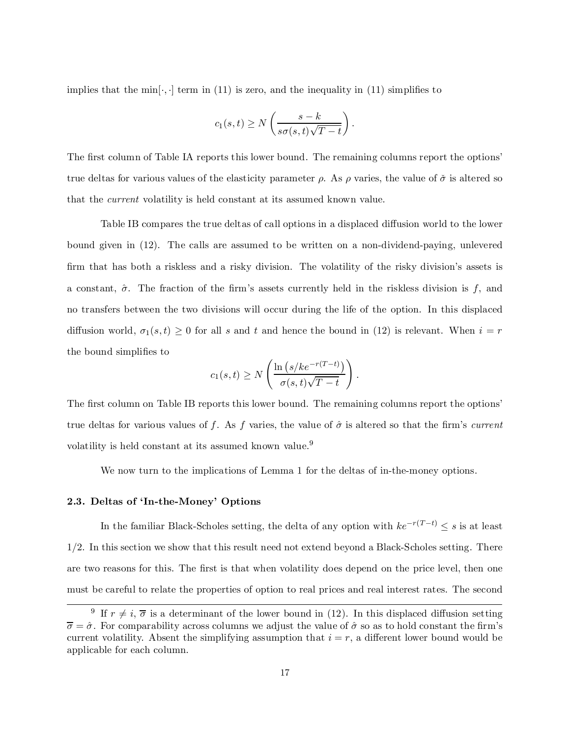implies that the min $\cdot$ ,  $\cdot$  term in (11) is zero, and the inequality in (11) simplifies to

$$
c_1(s,t) \ge N\left(\frac{s-k}{s\sigma(s,t)\sqrt{T-t}}\right).
$$

The first column of Table IA reports this lower bound. The remaining columns report the options' true deltas for various values of the elasticity parameter  $\rho$ . As  $\rho$  varies, the value of  $\check{\sigma}$  is altered so that the current volatility is held constant at its assumed known value.

Table IB compares the true deltas of call options in a displaced diffusion world to the lower bound given in (12). The calls are assumed to be written on a non-dividend-paying, unlevered firm that has both a riskless and a risky division. The volatility of the risky division's assets is a constant,  $\hat{\sigma}$ . The fraction of the firm's assets currently held in the riskless division is f, and no transfers between the two divisions will occur during the life of the option. In this displaced diffusion world,  $\sigma_1(s,t) \geq 0$  for all s and t and hence the bound in (12) is relevant. When  $i = r$ the bound simplifies to

$$
c_1(s,t) \ge N\left(\frac{\ln\left(s/ke^{-r(T-t)}\right)}{\sigma(s,t)\sqrt{T-t}}\right).
$$

The first column on Table IB reports this lower bound. The remaining columns report the options' true deltas for various values of f. As f varies, the value of  $\hat{\sigma}$  is altered so that the firm's current volatility is held constant at its assumed known value.<sup>9</sup>

We now turn to the implications of Lemma 1 for the deltas of in-the-money options.

# 2.3. Deltas of `In-the-Money' Options

In the familiar Black-Scholes setting, the delta of any option with  $ke^{-r(T-t)} \leq s$  is at least 1/2. In this section we show that this result need not extend beyond a Black-Scholes setting. There are two reasons for this. The first is that when volatility does depend on the price level, then one must be careful to relate the properties of option to real prices and real interest rates. The second

<sup>&</sup>lt;sup>9</sup> If  $r \neq i$ ,  $\overline{\sigma}$  is a determinant of the lower bound in (12). In this displaced diffusion setting  $\overline{\sigma} = \hat{\sigma}$ . For comparability across columns we adjust the value of  $\hat{\sigma}$  so as to hold constant the firm's current volatility. Absent the simplifying assumption that  $i = r$ , a different lower bound would be applicable for each column.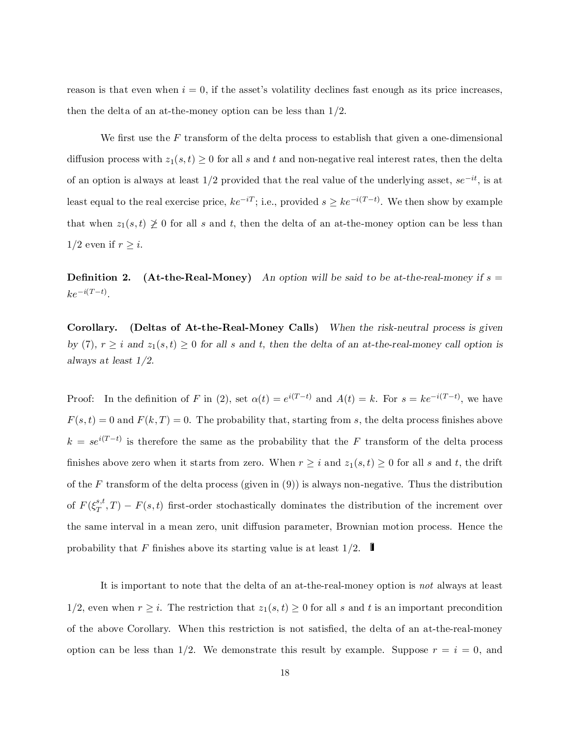reason is that even when  $i = 0$ , if the asset's volatility declines fast enough as its price increases, then the delta of an at-the-money option can be less than 1/2.

We first use the  $F$  transform of the delta process to establish that given a one-dimensional diffusion process with  $z_1(s,t) \geq 0$  for all s and t and non-negative real interest rates, then the delta of an option is always at least  $1/2$  provided that the real value of the underlying asset,  $se^{-it}$ , is at least equal to the real exercise price,  $ke^{-iT}$ ; i.e., provided  $s \geq ke^{-i(T-t)}$ . We then show by example that when  $z_1(s,t) \not\geq 0$  for all s and t, then the delta of an at-the-money option can be less than  $1/2$  even if  $r \geq i$ .

**Definition 2.** (At-the-Real-Money) An option will be said to be at-the-real-money if  $s =$  $ke^{-i(T-t)}$ .

Corollary. (Deltas of At-the-Real-Money Calls) When the risk-neutral process is given by (7),  $r \geq i$  and  $z_1(s,t) \geq 0$  for all s and t, then the delta of an at-the-real-money call option is always at least 1/2.

Proof: In the definition of F in (2), set  $\alpha(t) = e^{i(T-t)}$  and  $A(t) = k$ . For  $s = ke^{-i(T-t)}$ , we have  $F(s,t) = 0$  and  $F(k,T) = 0$ . The probability that, starting from s, the delta process finishes above  $k = se^{i(T-t)}$  is therefore the same as the probability that the F transform of the delta process finishes above zero when it starts from zero. When  $r \geq i$  and  $z_1(s,t) \geq 0$  for all s and t, the drift of the F transform of the delta process (given in  $(9)$ ) is always non-negative. Thus the distribution of  $F(\xi_T^{s,t})$  $T(T, T) - F(s, t)$  first-order stochastically dominates the distribution of the increment over the same interval in a mean zero, unit diffusion parameter, Brownian motion process. Hence the probability that F finishes above its starting value is at least  $1/2$ .

It is important to note that the delta of an at-the-real-money option is not always at least 1/2, even when  $r \geq i$ . The restriction that  $z_1(s,t) \geq 0$  for all s and t is an important precondition of the above Corollary. When this restriction is not satisfied, the delta of an at-the-real-money option can be less than 1/2. We demonstrate this result by example. Suppose  $r = i = 0$ , and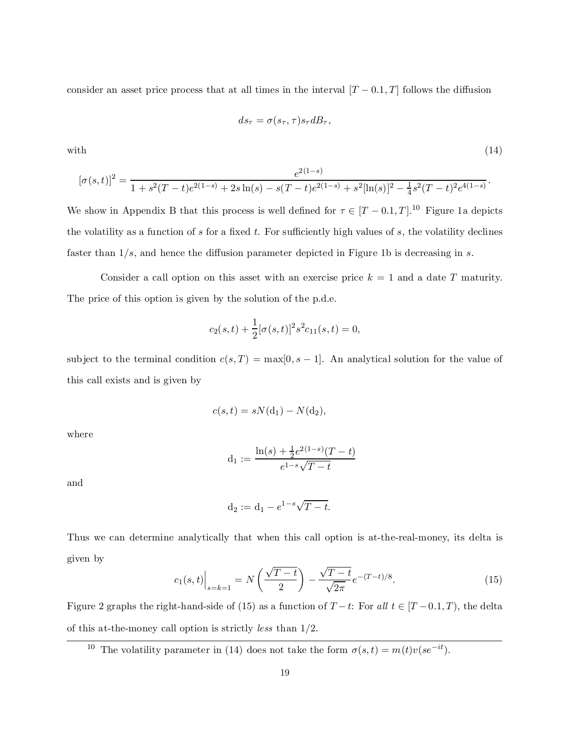consider an asset price process that at all times in the interval  $[T - 0.1, T]$  follows the diffusion

$$
ds_{\tau} = \sigma(s_{\tau}, \tau)s_{\tau}dB_{\tau},
$$

with  $(14)$ 

$$
[\sigma(s,t)]^2 = \frac{e^{2(1-s)}}{1 + s^2(T-t)e^{2(1-s)} + 2s\ln(s) - s(T-t)e^{2(1-s)} + s^2[\ln(s)]^2 - \frac{1}{4}s^2(T-t)^2e^{4(1-s)}}.
$$

We show in Appendix B that this process is well defined for  $\tau \in [T - 0.1, T]$ .<sup>10</sup> Figure 1a depicts the volatility as a function of  $s$  for a fixed  $t$ . For sufficiently high values of  $s$ , the volatility declines faster than  $1/s$ , and hence the diffusion parameter depicted in Figure 1b is decreasing in s.

Consider a call option on this asset with an exercise price  $k = 1$  and a date T maturity. The price of this option is given by the solution of the p.d.e.

$$
c_2(s,t) + \frac{1}{2} [\sigma(s,t)]^2 s^2 c_{11}(s,t) = 0,
$$

subject to the terminal condition  $c(s,T) = \max[0,s-1]$ . An analytical solution for the value of this call exists and is given by

$$
c(s,t) = sN(\mathbf{d}_1) - N(\mathbf{d}_2),
$$

where

$$
d_1 := \frac{\ln(s) + \frac{1}{2}e^{2(1-s)}(T-t)}{e^{1-s}\sqrt{T-t}}
$$

and

$$
d_2 := d_1 - e^{1-s} \sqrt{T - t}.
$$

Thus we can determine analytically that when this call option is at-the-real-money, its delta is given by

$$
c_1(s,t)\Big|_{s=k=1} = N\left(\frac{\sqrt{T-t}}{2}\right) - \frac{\sqrt{T-t}}{\sqrt{2\pi}}e^{-(T-t)/8}.\tag{15}
$$

Figure 2 graphs the right-hand-side of (15) as a function of  $T - t$ : For all  $t \in [T - 0.1, T)$ , the delta of this at-the-money call option is strictly less than 1/2.

<sup>10</sup> The volatility parameter in (14) does not take the form  $\sigma(s,t) = m(t)v(se^{-it})$ .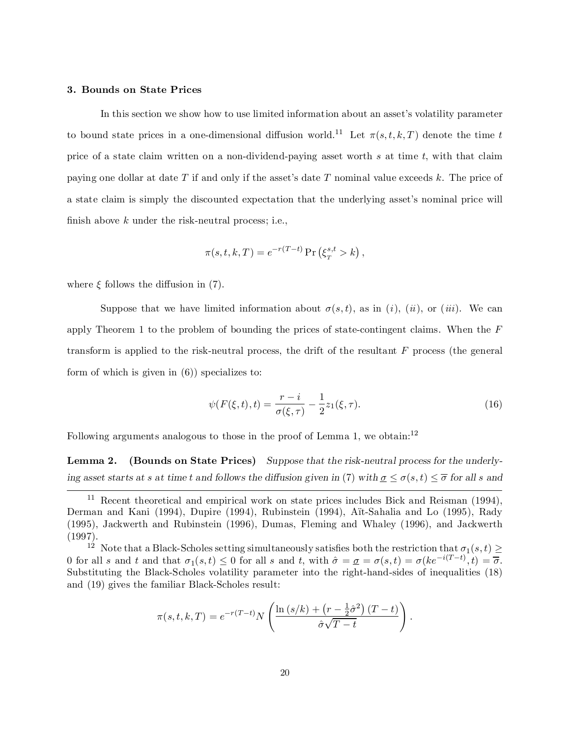#### 3. Bounds on State Prices

In this section we show how to use limited information about an asset's volatility parameter to bound state prices in a one-dimensional diffusion world.<sup>11</sup> Let  $\pi(s,t,k,T)$  denote the time t price of a state claim written on a non-dividend-paying asset worth s at time t, with that claim paying one dollar at date  $T$  if and only if the asset's date  $T$  nominal value exceeds k. The price of a state claim is simply the discounted expectation that the underlying asset's nominal price will finish above  $k$  under the risk-neutral process; i.e.,

$$
\pi(s, t, k, T) = e^{-r(T-t)} \Pr\left(\xi_T^{s, t} > k\right),
$$

where  $\xi$  follows the diffusion in (7).

Suppose that we have limited information about  $\sigma(s,t)$ , as in (i), (ii), or (iii). We can apply Theorem 1 to the problem of bounding the prices of state-contingent claims. When the F transform is applied to the risk-neutral process, the drift of the resultant  $F$  process (the general form of which is given in (6)) specializes to:

$$
\psi(F(\xi, t), t) = \frac{r - i}{\sigma(\xi, \tau)} - \frac{1}{2} z_1(\xi, \tau).
$$
\n(16)

Following arguments analogous to those in the proof of Lemma 1, we obtain:<sup>12</sup>

Lemma 2. (Bounds on State Prices) Suppose that the risk-neutral process for the underlying asset starts at s at time t and follows the diffusion given in (7) with  $\sigma \leq \sigma(s,t) \leq \overline{\sigma}$  for all s and

$$
\pi(s,t,k,T) = e^{-r(T-t)} N \left( \frac{\ln (s/k) + (r - \frac{1}{2}\hat{\sigma}^2) (T-t)}{\hat{\sigma}\sqrt{T-t}} \right).
$$

<sup>&</sup>lt;sup>11</sup> Recent theoretical and empirical work on state prices includes Bick and Reisman  $(1994)$ , Derman and Kani (1994), Dupire (1994), Rubinstein (1994), Aït-Sahalia and Lo (1995), Rady (1995), Jackwerth and Rubinstein (1996), Dumas, Fleming and Whaley (1996), and Jackwerth (1997).

<sup>&</sup>lt;sup>12</sup> Note that a Black-Scholes setting simultaneously satisfies both the restriction that  $\sigma_1(s,t) \geq$ 0 for all s and t and that  $\sigma_1(s,t) \leq 0$  for all s and t, with  $\hat{\sigma} = \sigma = \sigma(s,t) = \sigma(ke^{-i(T-t)},t) = \overline{\sigma}$ . Substituting the Black-Scholes volatility parameter into the right-hand-sides of inequalities (18) and (19) gives the familiar Black-Scholes result: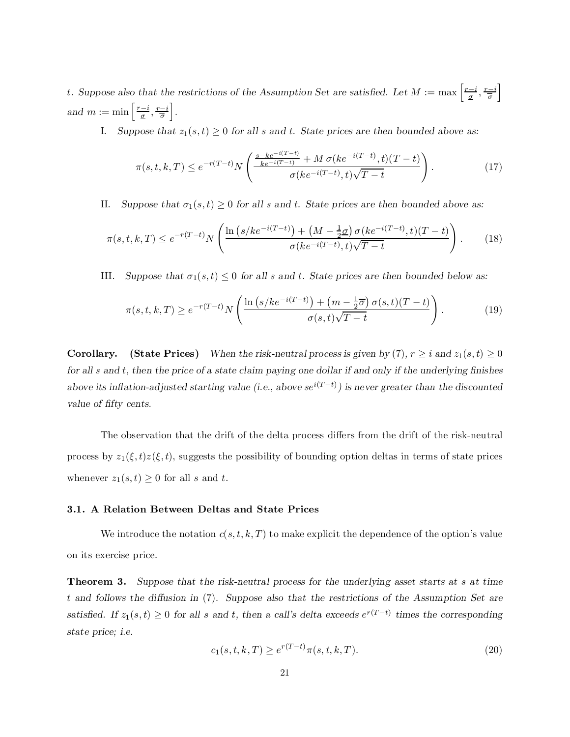t. Suppose also that the restrictions of the Assumption Set are satisfied. Let  $M := \max\left[\frac{r-i}{g}, \frac{r-i}{\overline{\sigma}}\right]$ i and  $m := \min\left[\frac{r-i}{\sigma}, \frac{r-i}{\overline{\sigma}}\right]$ i .

I. Suppose that  $z_1(s,t) \geq 0$  for all s and t. State prices are then bounded above as:

$$
\pi(s, t, k, T) \le e^{-r(T-t)} N \left( \frac{\frac{s - ke^{-i(T-t)}}{ke^{-i(T-t)}} + M \sigma(ke^{-i(T-t)}, t)(T-t)}{\sigma(ke^{-i(T-t)}, t)\sqrt{T-t}} \right). \tag{17}
$$

II. Suppose that  $\sigma_1(s,t) \geq 0$  for all s and t. State prices are then bounded above as:

$$
\pi(s, t, k, T) \le e^{-r(T-t)} N \left( \frac{\ln \left( s/ke^{-i(T-t)} \right) + \left( M - \frac{1}{2} \sigma \right) \sigma (ke^{-i(T-t)}, t) (T-t)}{\sigma (ke^{-i(T-t)}, t) \sqrt{T-t}} \right). \tag{18}
$$

III. Suppose that  $\sigma_1(s,t) \leq 0$  for all s and t. State prices are then bounded below as:

$$
\pi(s,t,k,T) \ge e^{-r(T-t)} N \left( \frac{\ln \left( s/ke^{-i(T-t)} \right) + \left( m - \frac{1}{2}\overline{\sigma} \right) \sigma(s,t)(T-t)}{\sigma(s,t)\sqrt{T-t}} \right). \tag{19}
$$

**Corollary.** (State Prices) When the risk-neutral process is given by (7),  $r \ge i$  and  $z_1(s,t) \ge 0$ for all s and t, then the price of a state claim paying one dollar if and only if the underlying finishes above its inflation-adjusted starting value (i.e., above  $se^{i(T-t)}$ ) is never greater than the discounted value of fifty cents.

The observation that the drift of the delta process differs from the drift of the risk-neutral process by  $z_1(\xi,t)z(\xi,t)$ , suggests the possibility of bounding option deltas in terms of state prices whenever  $z_1(s,t) \geq 0$  for all s and t.

### 3.1. A Relation Between Deltas and State Prices

We introduce the notation  $c(s,t,k,T)$  to make explicit the dependence of the option's value on its exercise price.

Theorem 3. Suppose that the risk-neutral process for the underlying asset starts at s at time  $t$  and follows the diffusion in (7). Suppose also that the restrictions of the Assumption Set are satisfied. If  $z_1(s,t) \geq 0$  for all s and t, then a call's delta exceeds  $e^{r(T-t)}$  times the corresponding state price; i.e.

$$
c_1(s, t, k, T) \ge e^{r(T-t)} \pi(s, t, k, T). \tag{20}
$$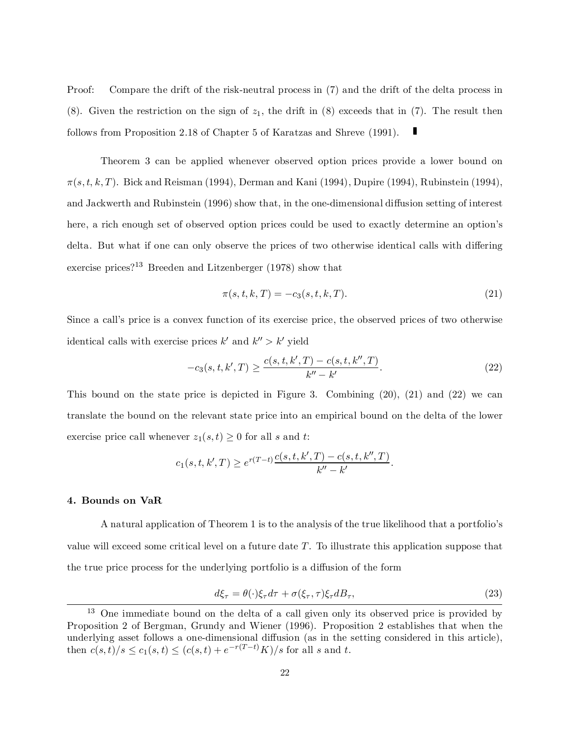Proof: Compare the drift of the risk-neutral process in (7) and the drift of the delta process in (8). Given the restriction on the sign of  $z_1$ , the drift in (8) exceeds that in (7). The result then follows from Proposition 2.18 of Chapter 5 of Karatzas and Shreve (1991).

Theorem 3 can be applied whenever observed option prices provide a lower bound on  $\pi(s,t,k,T)$ . Bick and Reisman (1994), Derman and Kani (1994), Dupire (1994), Rubinstein (1994), and Jackwerth and Rubinstein (1996) show that, in the one-dimensional diffusion setting of interest here, a rich enough set of observed option prices could be used to exactly determine an option's delta. But what if one can only observe the prices of two otherwise identical calls with differing exercise prices?<sup>13</sup> Breeden and Litzenberger (1978) show that

$$
\pi(s, t, k, T) = -c_3(s, t, k, T). \tag{21}
$$

Since a call's price is a convex function of its exercise price, the observed prices of two otherwise identical calls with exercise prices  $k'$  and  $k'' > k'$  yield

$$
-c_3(s, t, k', T) \ge \frac{c(s, t, k', T) - c(s, t, k'', T)}{k'' - k'}.
$$
\n(22)

This bound on the state price is depicted in Figure 3. Combining (20), (21) and (22) we can translate the bound on the relevant state price into an empirical bound on the delta of the lower exercise price call whenever  $z_1(s,t) \geq 0$  for all s and t:

$$
c_1(s, t, k', T) \ge e^{r(T-t)} \frac{c(s, t, k', T) - c(s, t, k'', T)}{k'' - k'}.
$$

#### 4. Bounds on VaR

A natural application of Theorem 1 is to the analysis of the true likelihood that a portfolio's value will exceed some critical level on a future date  $T$ . To illustrate this application suppose that the true price process for the underlying portfolio is a diffusion of the form

$$
d\xi_{\tau} = \theta(\cdot)\xi_{\tau}d\tau + \sigma(\xi_{\tau}, \tau)\xi_{\tau}dB_{\tau},\tag{23}
$$

<sup>13</sup> One immediate bound on the delta of a call given only its observed price is provided by Proposition 2 of Bergman, Grundy and Wiener (1996). Proposition 2 establishes that when the underlying asset follows a one-dimensional diffusion (as in the setting considered in this article), then  $c(s,t)/s \le c_1(s,t) \le (c(s,t) + e^{-r(T-t)}K)/s$  for all s and t.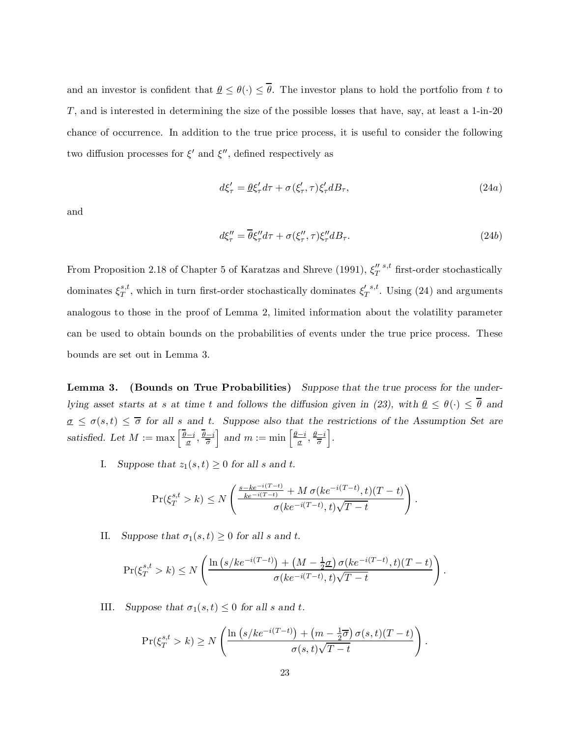and an investor is confident that  $\underline{\theta} \leq \theta(\cdot) \leq \overline{\theta}$ . The investor plans to hold the portfolio from t to T, and is interested in determining the size of the possible losses that have, say, at least a 1-in-20 chance of occurrence. In addition to the true price process, it is useful to consider the following two diffusion processes for  $\xi'$  and  $\xi''$ , defined respectively as

$$
d\xi'_{\tau} = \underline{\theta}\xi'_{\tau}d\tau + \sigma(\xi'_{\tau},\tau)\xi'_{\tau}dB_{\tau},\tag{24a}
$$

and

$$
d\xi_{\tau}^{\prime\prime} = \overline{\theta} \xi_{\tau}^{\prime\prime} d\tau + \sigma(\xi_{\tau}^{\prime\prime}, \tau) \xi_{\tau}^{\prime\prime} dB_{\tau}.
$$
 (24b)

From Proposition 2.18 of Chapter 5 of Karatzas and Shreve (1991),  $\xi_T''$  s,t first-order stochastically dominates  $\xi_T^{s,t}$  $S_T^{\{s,t\}}$ , which in turn first-order stochastically dominates  $\xi_T^{\{s,t\}}$ . Using (24) and arguments analogous to those in the proof of Lemma 2, limited information about the volatility parameter can be used to obtain bounds on the probabilities of events under the true price process. These bounds are set out in Lemma 3.

Lemma 3. (Bounds on True Probabilities) Suppose that the true process for the underlying asset starts at s at time t and follows the diffusion given in (23), with  $\theta \leq \theta(\cdot) \leq \overline{\theta}$  and  $\sigma \leq \sigma(s,t) \leq \overline{\sigma}$  for all s and t. Suppose also that the restrictions of the Assumption Set are satisfied. Let  $M := \max\left[\frac{\overline{\theta}-i}{\sigma}, \frac{\overline{\theta}-i}{\overline{\sigma}}\right]$ and  $m := \min\left[\frac{\underline{\theta}-i}{\underline{\sigma}}, \frac{\underline{\theta}-i}{\overline{\sigma}}\right]$ i .

I. Suppose that  $z_1(s,t) \geq 0$  for all s and t.

$$
\Pr(\xi_T^{s,t} > k) \le N \left( \frac{\frac{s - ke^{-i(T-t)}}{ke^{-i(T-t)}} + M \sigma(ke^{-i(T-t)}, t)(T-t)}{\sigma(ke^{-i(T-t)}, t)\sqrt{T-t}} \right).
$$

II. Suppose that  $\sigma_1(s,t) \geq 0$  for all s and t.

$$
\Pr(\xi_T^{s,t} > k) \le N \left( \frac{\ln \left( s/ke^{-i(T-t)} \right) + \left( M - \frac{1}{2} \underline{\sigma} \right) \sigma (ke^{-i(T-t)}, t) (T-t)}{\sigma (ke^{-i(T-t)}, t) \sqrt{T-t}} \right).
$$

III. Suppose that  $\sigma_1(s,t) \leq 0$  for all s and t.

$$
\Pr(\xi_T^{s,t} > k) \ge N \left( \frac{\ln (s/ke^{-i(T-t)}) + (m - \frac{1}{2}\overline{\sigma}) \sigma(s,t)(T-t)}{\sigma(s,t)\sqrt{T-t}} \right)
$$

: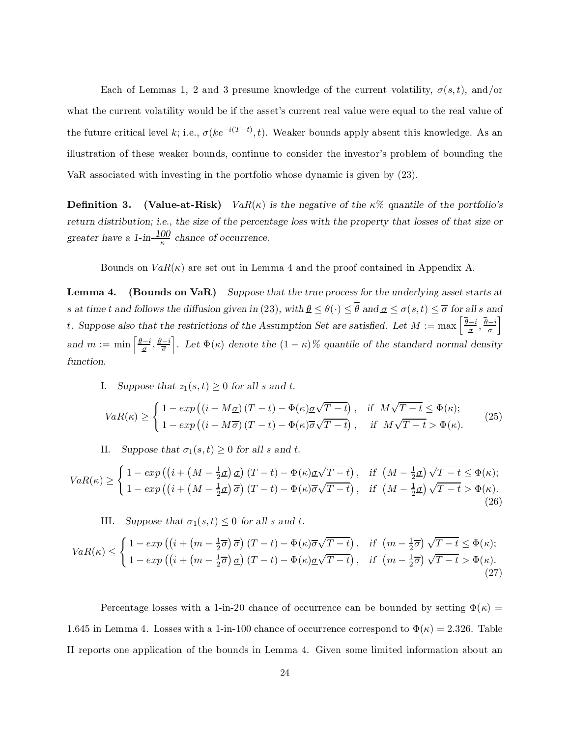Each of Lemmas 1, 2 and 3 presume knowledge of the current volatility,  $\sigma(s,t)$ , and/or what the current volatility would be if the asset's current real value were equal to the real value of the future critical level k; i.e.,  $\sigma(ke^{-i(T-t)}, t)$ . Weaker bounds apply absent this knowledge. As an illustration of these weaker bounds, continue to consider the investor's problem of bounding the VaR associated with investing in the portfolio whose dynamic is given by (23).

**Definition 3.** (Value-at-Risk)  $VaR(\kappa)$  is the negative of the  $\kappa\%$  quantile of the portfolio's return distribution; i.e., the size of the percentage loss with the property that losses of that size or greater have a 1-in- $\frac{100}{\kappa}$  chance of occurrence.

Bounds on  $VaR(\kappa)$  are set out in Lemma 4 and the proof contained in Appendix A.

Lemma 4. (Bounds on VaR) Suppose that the true process for the underlying asset starts at s at time t and follows the diffusion given in (23), with  $\underline{\theta} \leq \theta(\cdot) \leq \overline{\theta}$  and  $\underline{\sigma} \leq \sigma(s,t) \leq \overline{\sigma}$  for all s and t. Suppose also that the restrictions of the Assumption Set are satisfied. Let  $M := \max \left[ \frac{\overline{\theta}-i}{\sigma}, \frac{\overline{\theta}-i}{\overline{\sigma}} \right]$ i and  $m := \min\left[\frac{\underline{\theta}-i}{\underline{\sigma}}, \frac{\underline{\theta}-i}{\overline{\sigma}}\right]$ Let  $\Phi(\kappa)$  denote the  $(1 - \kappa)$ % quantile of the standard normal density function.

I. Suppose that  $z_1(s,t) \geq 0$  for all s and t.

$$
VaR(\kappa) \geq \begin{cases} 1 - exp((i + M\underline{\sigma})(T - t) - \Phi(\kappa)\underline{\sigma}\sqrt{T - t}), & \text{if } M\sqrt{T - t} \leq \Phi(\kappa); \\ 1 - exp((i + M\overline{\sigma})(T - t) - \Phi(\kappa)\overline{\sigma}\sqrt{T - t}), & \text{if } M\sqrt{T - t} > \Phi(\kappa). \end{cases}
$$
(25)

II. Suppose that  $\sigma_1(s,t) \geq 0$  for all s and t.

$$
VaR(\kappa) \geq \begin{cases} 1 - exp\left(\left(i + \left(M - \frac{1}{2}\sigma\right)\sigma\right)(T - t) - \Phi(\kappa)\sigma\sqrt{T - t}\right), & \text{if } \left(M - \frac{1}{2}\sigma\right)\sqrt{T - t} \leq \Phi(\kappa); \\ 1 - exp\left(\left(i + \left(M - \frac{1}{2}\sigma\right)\overline{\sigma}\right)(T - t) - \Phi(\kappa)\overline{\sigma}\sqrt{T - t}\right), & \text{if } \left(M - \frac{1}{2}\sigma\right)\sqrt{T - t} > \Phi(\kappa). \end{cases}
$$
(26)

III. Suppose that  $\sigma_1(s,t) \leq 0$  for all s and t.

$$
VaR(\kappa) \leq \begin{cases} 1 - exp\left(\left(i + \left(m - \frac{1}{2}\overline{\sigma}\right)\overline{\sigma}\right)(T - t) - \Phi(\kappa)\overline{\sigma}\sqrt{T - t}\right), & \text{if } \left(m - \frac{1}{2}\overline{\sigma}\right)\sqrt{T - t} \leq \Phi(\kappa); \\ 1 - exp\left(\left(i + \left(m - \frac{1}{2}\overline{\sigma}\right)\underline{\sigma}\right)(T - t) - \Phi(\kappa)\underline{\sigma}\sqrt{T - t}\right), & \text{if } \left(m - \frac{1}{2}\overline{\sigma}\right)\sqrt{T - t} > \Phi(\kappa). \end{cases}
$$
\n
$$
(27)
$$

Percentage losses with a 1-in-20 chance of occurrence can be bounded by setting  $\Phi(\kappa)$  = 1.645 in Lemma 4. Losses with a 1-in-100 chance of occurrence correspond to  $\Phi(\kappa) = 2.326$ . Table II reports one application of the bounds in Lemma 4. Given some limited information about an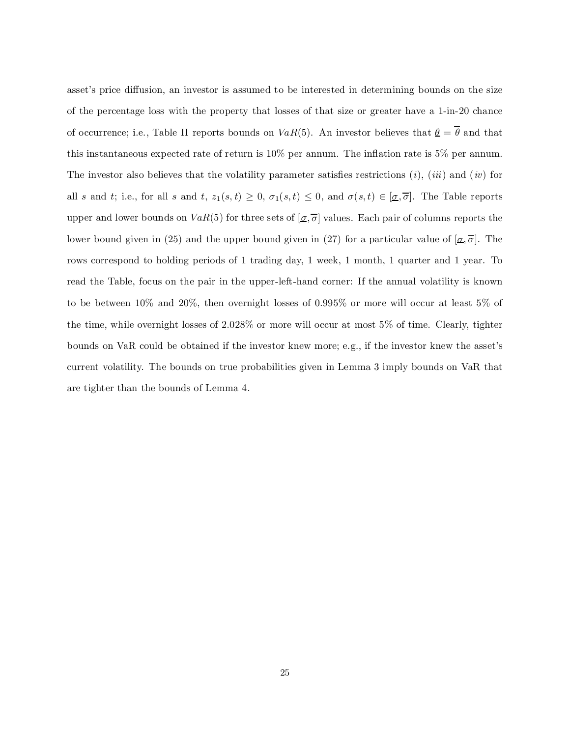asset's price diffusion, an investor is assumed to be interested in determining bounds on the size of the percentage loss with the property that losses of that size or greater have a 1-in-20 chance of occurrence; i.e., Table II reports bounds on  $VaR(5)$ . An investor believes that  $\underline{\theta} = \overline{\theta}$  and that this instantaneous expected rate of return is  $10\%$  per annum. The inflation rate is 5% per annum. The investor also believes that the volatility parameter satisfies restrictions  $(i)$ ,  $(iii)$  and  $(iv)$  for all s and t; i.e., for all s and t,  $z_1(s,t) \geq 0$ ,  $\sigma_1(s,t) \leq 0$ , and  $\sigma(s,t) \in [\underline{\sigma}, \overline{\sigma}]$ . The Table reports upper and lower bounds on  $VaR(5)$  for three sets of  $[\underline{\sigma}, \overline{\sigma}]$  values. Each pair of columns reports the lower bound given in (25) and the upper bound given in (27) for a particular value of  $[\sigma, \overline{\sigma}]$ . The rows correspond to holding periods of 1 trading day, 1 week, 1 month, 1 quarter and 1 year. To read the Table, focus on the pair in the upper-left-hand corner: If the annual volatility is known to be between 10% and 20%, then overnight losses of 0.995% or more will occur at least 5% of the time, while overnight losses of 2.028% or more will occur at most 5% of time. Clearly, tighter bounds on VaR could be obtained if the investor knew more; e.g., if the investor knew the asset's current volatility. The bounds on true probabilities given in Lemma 3 imply bounds on VaR that are tighter than the bounds of Lemma 4.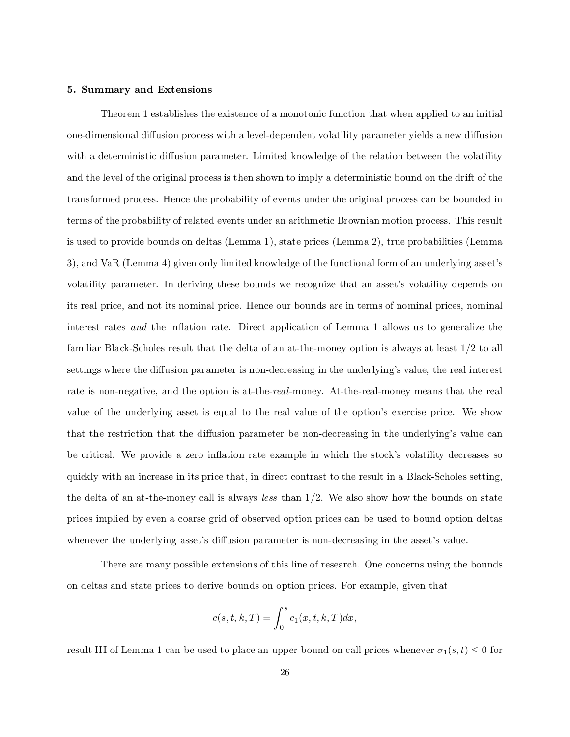#### 5. Summary and Extensions

Theorem 1 establishes the existence of a monotonic function that when applied to an initial one-dimensional diffusion process with a level-dependent volatility parameter yields a new diffusion with a deterministic diffusion parameter. Limited knowledge of the relation between the volatility and the level of the original process is then shown to imply a deterministic bound on the drift of the transformed process. Hence the probability of events under the original process can be bounded in terms of the probability of related events under an arithmetic Brownian motion process. This result is used to provide bounds on deltas (Lemma 1), state prices (Lemma 2), true probabilities (Lemma 3), and VaR (Lemma 4) given only limited knowledge of the functional form of an underlying asset's volatility parameter. In deriving these bounds we recognize that an asset's volatility depends on its real price, and not its nominal price. Hence our bounds are in terms of nominal prices, nominal interest rates and the inflation rate. Direct application of Lemma 1 allows us to generalize the familiar Black-Scholes result that the delta of an at-the-money option is always at least 1/2 to all settings where the diffusion parameter is non-decreasing in the underlying's value, the real interest rate is non-negative, and the option is at-the-real-money. At-the-real-money means that the real value of the underlying asset is equal to the real value of the option's exercise price. We show that the restriction that the diffusion parameter be non-decreasing in the underlying's value can be critical. We provide a zero inflation rate example in which the stock's volatility decreases so quickly with an increase in its price that, in direct contrast to the result in a Black-Scholes setting, the delta of an at-the-money call is always *less* than  $1/2$ . We also show how the bounds on state prices implied by even a coarse grid of observed option prices can be used to bound option deltas whenever the underlying asset's diffusion parameter is non-decreasing in the asset's value.

There are many possible extensions of this line of research. One concerns using the bounds on deltas and state prices to derive bounds on option prices. For example, given that

$$
c(s,t,k,T) = \int_0^s c_1(x,t,k,T)dx,
$$

result III of Lemma 1 can be used to place an upper bound on call prices whenever  $\sigma_1(s,t) \leq 0$  for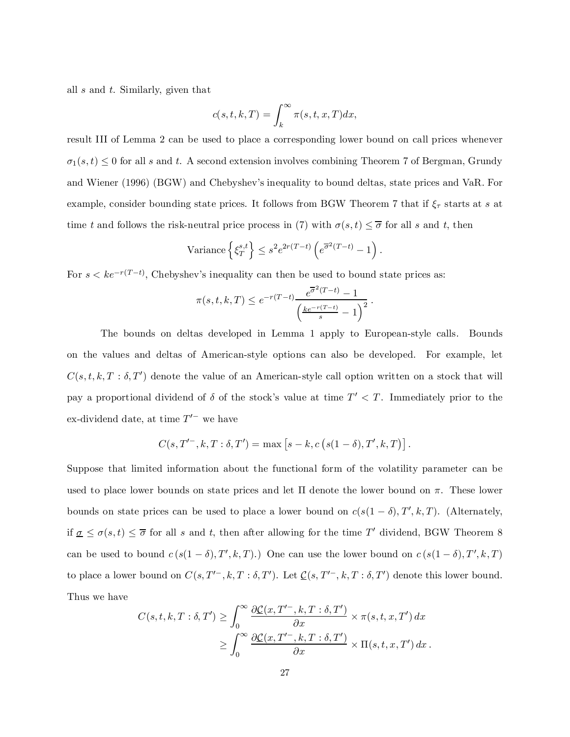all s and t. Similarly, given that

$$
c(s,t,k,T) = \int_{k}^{\infty} \pi(s,t,x,T) dx,
$$

result III of Lemma 2 can be used to place a corresponding lower bound on call prices whenever  $\sigma_1(s,t) \leq 0$  for all s and t. A second extension involves combining Theorem 7 of Bergman, Grundy and Wiener (1996) (BGW) and Chebyshev's inequality to bound deltas, state prices and VaR. For example, consider bounding state prices. It follows from BGW Theorem 7 that if  $\xi_{\tau}$  starts at s at time t and follows the risk-neutral price process in (7) with  $\sigma(s,t) \leq \overline{\sigma}$  for all s and t, then

Variance 
$$
\left\{ \xi_T^{s,t} \right\} \leq s^2 e^{2r(T-t)} \left( e^{\overline{\sigma}^2(T-t)} - 1 \right).
$$

For  $s < ke^{-r(T-t)}$ , Chebyshev's inequality can then be used to bound state prices as:

$$
\pi(s, t, k, T) \le e^{-r(T-t)} \frac{e^{\overline{\sigma}^{2}(T-t)} - 1}{\left(\frac{ke^{-r(T-t)}}{s} - 1\right)^{2}}.
$$

The bounds on deltas developed in Lemma 1 apply to European-style calls. Bounds on the values and deltas of American-style options can also be developed. For example, let  $C(s,t,k,T : \delta,T')$  denote the value of an American-style call option written on a stock that will pay a proportional dividend of  $\delta$  of the stock's value at time  $T' < T$ . Immediately prior to the ex-dividend date, at time  $T'^-$  we have

$$
C(s, T'^{-}, k, T : \delta, T') = \max [s - k, c (s(1 - \delta), T', k, T)].
$$

Suppose that limited information about the functional form of the volatility parameter can be used to place lower bounds on state prices and let  $\Pi$  denote the lower bound on  $\pi$ . These lower bounds on state prices can be used to place a lower bound on  $c(s(1 - \delta), T', k, T)$ . (Alternately, if  $\underline{\sigma} \leq \sigma(s,t) \leq \overline{\sigma}$  for all s and t, then after allowing for the time T' dividend, BGW Theorem 8 can be used to bound  $c(s(1-\delta), T', k, T)$ .) One can use the lower bound on  $c(s(1-\delta), T', k, T)$ to place a lower bound on  $C(s, T^{\prime -}, k, T : \delta, T^{\prime})$ . Let  $\underline{C}(s, T^{\prime -}, k, T : \delta, T^{\prime})$  denote this lower bound. Thus we have

$$
C(s, t, k, T : \delta, T') \geq \int_0^\infty \frac{\partial \mathcal{L}(x, T'^-, k, T : \delta, T')}{\partial x} \times \pi(s, t, x, T') dx
$$
  
 
$$
\geq \int_0^\infty \frac{\partial \mathcal{L}(x, T'^-, k, T : \delta, T')}{\partial x} \times \Pi(s, t, x, T') dx.
$$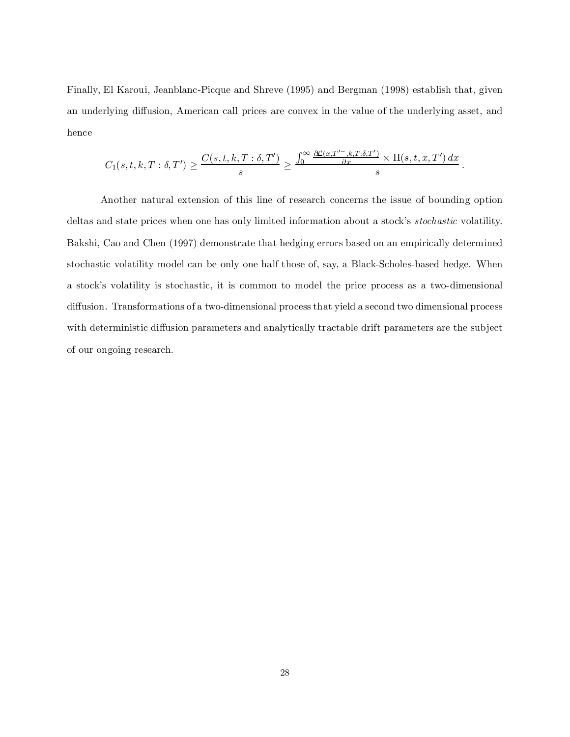Finally, El Karoui, Jeanblanc-Picque and Shreve (1995) and Bergman (1998) establish that, given an underlying diffusion, American call prices are convex in the value of the underlying asset, and hence

$$
C_1(s,t,k,T:\delta,T') \ge \frac{C(s,t,k,T:\delta,T')}{s} \ge \frac{\int_0^\infty \frac{\partial \mathcal{L}(x,T'-,k,T:\delta,T')}{\partial x} \times \Pi(s,t,x,T') \, dx}{s}
$$

:

Another natural extension of this line of research concerns the issue of bounding option deltas and state prices when one has only limited information about a stock's *stochastic* volatility. Bakshi, Cao and Chen (1997) demonstrate that hedging errors based on an empirically determined stochastic volatility model can be only one half those of, say, a Black-Scholes-based hedge. When a stock's volatility is stochastic, it is common to model the price process as a two-dimensional diffusion. Transformations of a two-dimensional process that yield a second two dimensional process with deterministic diffusion parameters and analytically tractable drift parameters are the subject of our ongoing research.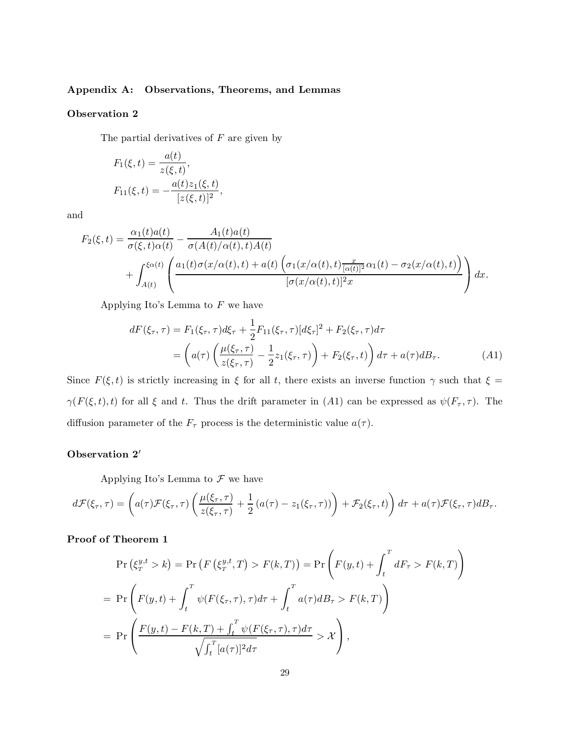# Appendix A: Observations, Theorems, and Lemmas

# Observation 2

The partial derivatives of  $F$  are given by

$$
F_1(\xi, t) = \frac{a(t)}{z(\xi, t)},
$$
  
\n
$$
F_{11}(\xi, t) = -\frac{a(t)z_1(\xi, t)}{[z(\xi, t)]^2},
$$

and

$$
F_2(\xi, t) = \frac{\alpha_1(t)a(t)}{\sigma(\xi, t)\alpha(t)} - \frac{A_1(t)a(t)}{\sigma(A(t)/\alpha(t), t)A(t)} + \int_{A(t)}^{\xi\alpha(t)} \left( \frac{a_1(t)\sigma(x/\alpha(t), t) + a(t) \left(\sigma_1(x/\alpha(t), t)\frac{x}{|\alpha(t)|^2}\alpha_1(t) - \sigma_2(x/\alpha(t), t)\right)}{[\sigma(x/\alpha(t), t)]^2 x} \right) dx.
$$

Applying Ito's Lemma to  $F$  we have

$$
dF(\xi_{\tau}, \tau) = F_1(\xi_{\tau}, \tau) d\xi_{\tau} + \frac{1}{2} F_{11}(\xi_{\tau}, \tau) [d\xi_{\tau}]^2 + F_2(\xi_{\tau}, \tau) d\tau
$$
  
= 
$$
\left( a(\tau) \left( \frac{\mu(\xi_{\tau}, \tau)}{z(\xi_{\tau}, \tau)} - \frac{1}{2} z_1(\xi_{\tau}, \tau) \right) + F_2(\xi_{\tau}, t) \right) d\tau + a(\tau) dB_{\tau}.
$$
 (A1)

Since  $F(\xi,t)$  is strictly increasing in  $\xi$  for all t, there exists an inverse function  $\gamma$  such that  $\xi =$  $\gamma(F(\xi,t),t)$  for all  $\xi$  and t. Thus the drift parameter in (A1) can be expressed as  $\psi(F_{\tau},\tau)$ . The diffusion parameter of the  $F_{\tau}$  process is the deterministic value  $a(\tau)$ .

#### Observation 2'

Applying Ito's Lemma to  $\mathcal F$  we have

$$
d\mathcal{F}(\xi_{\tau},\tau) = \left(a(\tau)\mathcal{F}(\xi_{\tau},\tau)\left(\frac{\mu(\xi_{\tau},\tau)}{z(\xi_{\tau},\tau)}+\frac{1}{2}\left(a(\tau)-z_{1}(\xi_{\tau},\tau)\right)\right)+\mathcal{F}_{2}(\xi_{\tau},t)\right)d\tau + a(\tau)\mathcal{F}(\xi_{\tau},\tau)dB_{\tau}.
$$

Proof of Theorem 1

$$
\Pr\left(\xi_T^{y,t} > k\right) = \Pr\left(F\left(\xi_T^{y,t}, T\right) > F(k, T)\right) = \Pr\left(F(y,t) + \int_t^T dF_\tau > F(k, T)\right)
$$
\n
$$
= \Pr\left(F(y,t) + \int_t^T \psi(F(\xi_\tau, \tau), \tau) d\tau + \int_t^T a(\tau) dB_\tau > F(k, T)\right)
$$
\n
$$
= \Pr\left(\frac{F(y,t) - F(k, T) + \int_t^T \psi(F(\xi_\tau, \tau), \tau) d\tau}{\sqrt{\int_t^T [a(\tau)]^2 d\tau}} > \mathcal{X}\right),
$$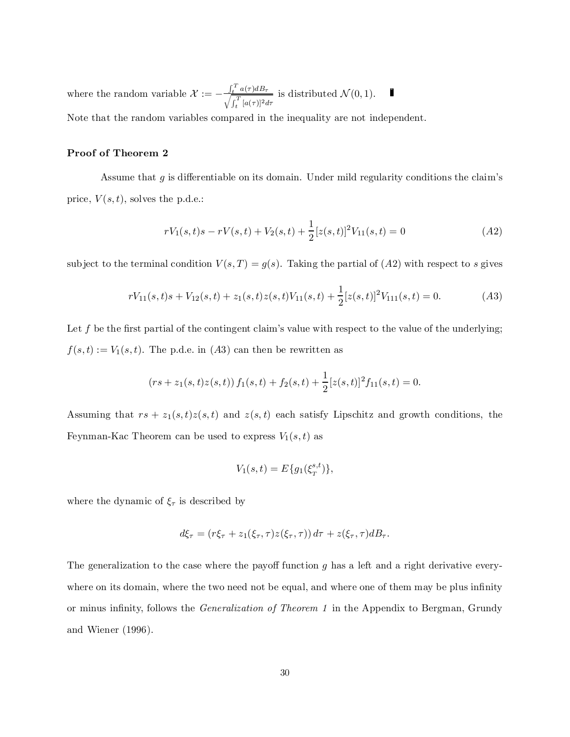where the random variable  $\mathcal{X} := -\frac{\int_t^T a(\tau) d\tau}{\int_t^T [f(\tau))^2}$  $\frac{\int_t^T a(\tau) d\tau}{\sqrt{\int_t^T [a(\tau)]^2 d\tau}}$  is distributed  $\mathcal{N}(0, 1)$ .

Note that the random variables compared in the inequality are not independent.

# Proof of Theorem 2

Assume that  $g$  is differentiable on its domain. Under mild regularity conditions the claim's price,  $V(s,t)$ , solves the p.d.e.:

$$
rV_1(s,t)s - rV(s,t) + V_2(s,t) + \frac{1}{2}[z(s,t)]^2V_{11}(s,t) = 0
$$
\n<sup>(A2)</sup>

subject to the terminal condition  $V(s,T) = g(s)$ . Taking the partial of  $(A2)$  with respect to s gives

$$
rV_{11}(s,t)s + V_{12}(s,t) + z_1(s,t)z(s,t)V_{11}(s,t) + \frac{1}{2}[z(s,t)]^2V_{111}(s,t) = 0.
$$
 (A3)

Let f be the first partial of the contingent claim's value with respect to the value of the underlying;  $f(s,t) := V_1(s,t)$ . The p.d.e. in  $(A3)$  can then be rewritten as

$$
(rs + z1(s, t)z(s, t)) f1(s, t) + f2(s, t) + \frac{1}{2}[z(s, t)]2 f11(s, t) = 0.
$$

Assuming that  $rs + z_1(s,t)z(s,t)$  and  $z(s,t)$  each satisfy Lipschitz and growth conditions, the Feynman-Kac Theorem can be used to express  $V_1(s,t)$  as

$$
V_1(s,t) = E\{g_1(\xi_T^{s,t})\},\,
$$

where the dynamic of  $\xi_{\tau}$  is described by

$$
d\xi_{\tau} = (r\xi_{\tau} + z_1(\xi_{\tau}, \tau)z(\xi_{\tau}, \tau)) d\tau + z(\xi_{\tau}, \tau)dB_{\tau}.
$$

The generalization to the case where the payoff function  $g$  has a left and a right derivative everywhere on its domain, where the two need not be equal, and where one of them may be plus infinity or minus infinity, follows the *Generalization of Theorem 1* in the Appendix to Bergman, Grundy and Wiener (1996).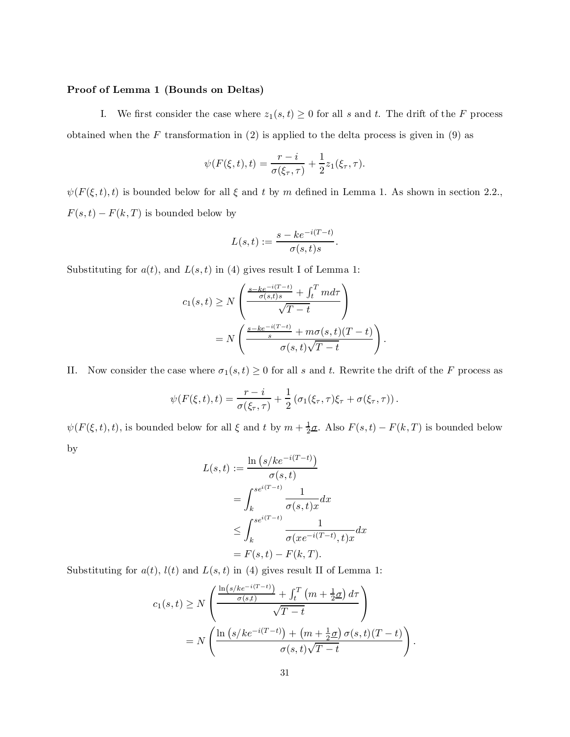#### Proof of Lemma 1 (Bounds on Deltas)

I. We first consider the case where  $z_1(s, t) \geq 0$  for all s and t. The drift of the F process obtained when the F transformation in  $(2)$  is applied to the delta process is given in  $(9)$  as

$$
\psi(F(\xi,t),t) = \frac{r-i}{\sigma(\xi_{\tau},\tau)} + \frac{1}{2}z_1(\xi_{\tau},\tau).
$$

 $\psi(F(\xi,t),t)$  is bounded below for all  $\xi$  and  $t$  by m defined in Lemma 1. As shown in section 2.2.,  $F(s,t) - F(k,\cal{T})$  is bounded below by

$$
L(s,t) := \frac{s - ke^{-i(T-t)}}{\sigma(s,t)s}.
$$

Substituting for  $a(t)$ , and  $L(s,t)$  in (4) gives result I of Lemma 1:

$$
c_1(s,t) \ge N \left( \frac{\frac{s - ke^{-i(T-t)}}{\sigma(s,t)s} + \int_t^T m d\tau}{\sqrt{T-t}} \right)
$$
  
=  $N \left( \frac{\frac{s - ke^{-i(T-t)}}{s} + m\sigma(s,t)(T-t)}{\sigma(s,t)\sqrt{T-t}} \right)$ 

II. Now consider the case where  $\sigma_1(s,t) \geq 0$  for all s and t. Rewrite the drift of the F process as

:

:

$$
\psi(F(\xi,t),t) = \frac{r-i}{\sigma(\xi_{\tau},\tau)} + \frac{1}{2} (\sigma_1(\xi_{\tau},\tau)\xi_{\tau} + \sigma(\xi_{\tau},\tau)).
$$

 $\psi(F(\xi,t),t)$ , is bounded below for all  $\xi$  and  $t$  by  $m + \frac{1}{2}\sigma$ . Also  $F(s,t) - F(k,T)$  is bounded below by

$$
L(s,t) := \frac{\ln (s/ke^{-i(T-t)})}{\sigma(s,t)}
$$
  
= 
$$
\int_{k}^{se^{i(T-t)}} \frac{1}{\sigma(s,t)x} dx
$$
  

$$
\leq \int_{k}^{se^{i(T-t)}} \frac{1}{\sigma(xe^{-i(T-t)},t)x} dx
$$
  
= 
$$
F(s,t) - F(k,T).
$$

Substituting for  $a(t)$ ,  $l(t)$  and  $L(s, t)$  in (4) gives result II of Lemma 1:

$$
c_1(s,t) \ge N \left( \frac{\frac{\ln(s/ke^{-i(T-t)})}{\sigma(s,t)} + \int_t^T \left( m + \frac{1}{2}\sigma \right) d\tau}{\sqrt{T-t}} \right)
$$
  
=  $N \left( \frac{\ln \left( s/ke^{-i(T-t)} \right) + \left( m + \frac{1}{2}\sigma \right) \sigma(s,t)(T-t)}{\sigma(s,t)\sqrt{T-t}} \right)$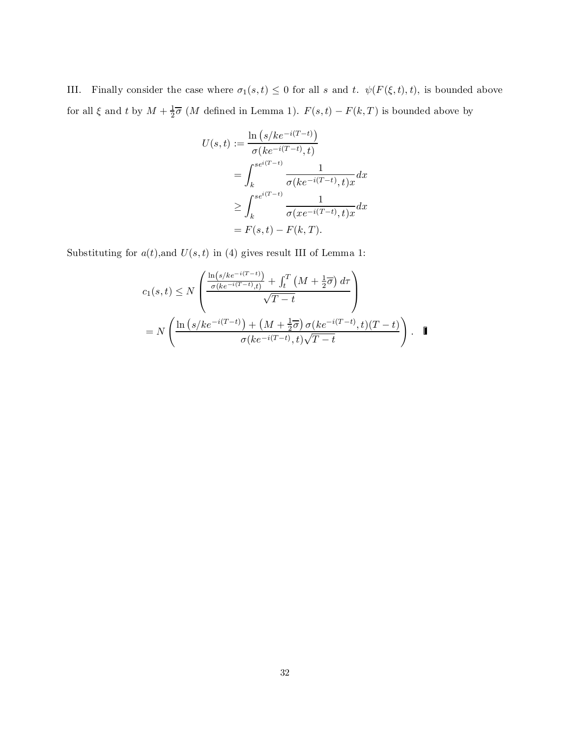III. Finally consider the case where  $\sigma_1(s,t) \leq 0$  for all s and t.  $\psi(F(\xi,t),t)$ , is bounded above for all  $\xi$  and t by  $M + \frac{1}{2}\overline{\sigma}$  (*M* defined in Lemma 1).  $F(s,t) - F(k,T)$  is bounded above by

$$
U(s,t) := \frac{\ln (s/ke^{-i(T-t)})}{\sigma (ke^{-i(T-t)}, t)}
$$
  
= 
$$
\int_{k}^{se^{i(T-t)}} \frac{1}{\sigma (ke^{-i(T-t)}, t)x} dx
$$
  

$$
\geq \int_{k}^{se^{i(T-t)}} \frac{1}{\sigma (xe^{-i(T-t)}, t)x} dx
$$
  
= 
$$
F(s,t) - F(k,T).
$$

Substituting for  $a(t)$ , and  $U(s,t)$  in (4) gives result III of Lemma 1:

$$
c_1(s,t) \leq N \left( \frac{\frac{\ln(s/ke^{-i(T-t)})}{\sigma(ke^{-i(T-t)},t)} + \int_t^T \left( M + \frac{1}{2}\overline{\sigma} \right) d\tau}{\sqrt{T-t}} \right)
$$
  
= 
$$
N \left( \frac{\ln\left(s/ke^{-i(T-t)}\right) + \left( M + \frac{1}{2}\overline{\sigma} \right) \sigma(ke^{-i(T-t)},t)(T-t)}{\sigma(ke^{-i(T-t)},t)\sqrt{T-t}} \right).
$$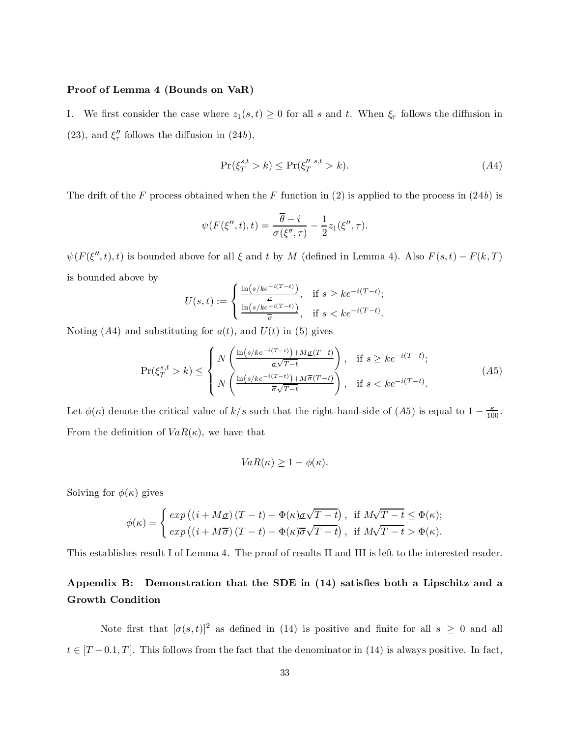#### Proof of Lemma 4 (Bounds on VaR)

I. We first consider the case where  $z_1(s,t) \geq 0$  for all s and t. When  $\xi_{\tau}$  follows the diffusion in (23), and  $\xi_{\tau}''$  follows the diffusion in (24b),

$$
\Pr(\xi_T^{s,t} > k) \le \Pr(\xi_T^{n s,t} > k). \tag{A4}
$$

The drift of the F process obtained when the F function in  $(2)$  is applied to the process in  $(24b)$  is

$$
\psi(F(\xi'',t),t) = \frac{\overline{\theta} - i}{\sigma(\xi'',\tau)} - \frac{1}{2}z_1(\xi'',\tau).
$$

 $\psi(F(\xi'',t),t)$  is bounded above for all  $\xi$  and  $t$  by  $M$  (defined in Lemma 4). Also  $F(s,t) - F(k,T)$ is bounded above by

$$
U(s,t) := \begin{cases} \frac{\ln(s/ke^{-i(T-t)})}{\mu(s/ke^{-i(T-t)})}, & \text{if } s \ge ke^{-i(T-t)}; \\ \frac{\ln(s/ke^{-i(T-t)})}{\overline{\sigma}}, & \text{if } s < ke^{-i(T-t)}. \end{cases}
$$

Noting  $(A4)$  and substituting for  $a(t)$ , and  $U(t)$  in (5) gives

$$
\Pr(\xi_T^{s,t} > k) \le \begin{cases} N\left(\frac{\ln(s/ke^{-i(T-t)}) + M\underline{\sigma}(T-t)}{\underline{\sigma}\sqrt{T-t}}\right), & \text{if } s \ge ke^{-i(T-t)};\\ N\left(\frac{\ln(s/ke^{-i(T-t)}) + M\overline{\sigma}(T-t)}{\overline{\sigma}\sqrt{T-t}}\right), & \text{if } s < ke^{-i(T-t)}. \end{cases} (A5)
$$

Let  $\phi(\kappa)$  denote the critical value of  $k/s$  such that the right-hand-side of (A5) is equal to  $1 - \frac{\kappa}{100}$ . From the definition of  $VaR(\kappa)$ , we have that

$$
VaR(\kappa) \ge 1 - \phi(\kappa).
$$

Solving for  $\phi(\kappa)$  gives

$$
\phi(\kappa) = \begin{cases} exp((i + M\underline{\sigma})(T - t) - \Phi(\kappa)\underline{\sigma}\sqrt{T - t}), & \text{if } M\sqrt{T - t} \leq \Phi(\kappa); \\ exp((i + M\overline{\sigma})(T - t) - \Phi(\kappa)\overline{\sigma}\sqrt{T - t}), & \text{if } M\sqrt{T - t} > \Phi(\kappa). \end{cases}
$$

This establishes result I of Lemma 4. The proof of results II and III is left to the interested reader.

# Appendix B: Demonstration that the SDE in  $(14)$  satisfies both a Lipschitz and a Growth Condition

Note first that  $[\sigma(s,t)]^2$  as defined in (14) is positive and finite for all  $s \geq 0$  and all  $t \in [T - 0.1, T]$ . This follows from the fact that the denominator in (14) is always positive. In fact,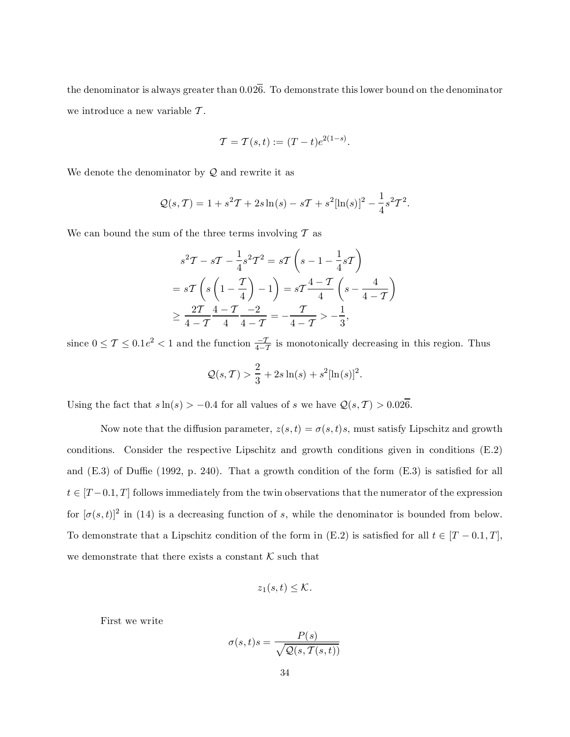the denominator is always greater than  $0.02\overline{6}$ . To demonstrate this lower bound on the denominator we introduce a new variable  $\mathcal T$ .

$$
\mathcal{T} = \mathcal{T}(s,t) := (T-t)e^{2(1-s)}.
$$

We denote the denominator by  $Q$  and rewrite it as

$$
Q(s,T) = 1 + s^2 T + 2s \ln(s) - sT + s^2 [\ln(s)]^2 - \frac{1}{4} s^2 T^2.
$$

We can bound the sum of the three terms involving  $T$  as

$$
s^{2}T - sT - \frac{1}{4}s^{2}T^{2} = sT\left(s - 1 - \frac{1}{4}sT\right)
$$
  
=  $sT\left(s\left(1 - \frac{T}{4}\right) - 1\right) = sT\frac{4 - T}{4}\left(s - \frac{4}{4 - T}\right)$   
 $\geq \frac{2T}{4 - T}\frac{4 - T}{4}\frac{-2}{4 - T} = -\frac{T}{4 - T} > -\frac{1}{3},$ 

since  $0 \le T \le 0.1e^2 < 1$  and the function  $\frac{-T}{4-T}$  is monotonically decreasing in this region. Thus

$$
Q(s,T) > \frac{2}{3} + 2s \ln(s) + s^2 [\ln(s)]^2.
$$

Using the fact that  $s \ln(s) > -0.4$  for all values of s we have  $\mathcal{Q}(s, \mathcal{T}) > 0.026$ .

Now note that the diffusion parameter,  $z(s,t) = \sigma(s,t)s$ , must satisfy Lipschitz and growth conditions. Consider the respective Lipschitz and growth conditions given in conditions (E.2) and  $(E.3)$  of Duffie (1992, p. 240). That a growth condition of the form  $(E.3)$  is satisfied for all  $t \in [T-0.1, T]$  follows immediately from the twin observations that the numerator of the expression for  $[\sigma(s,t)]^2$  in (14) is a decreasing function of s, while the denominator is bounded from below. To demonstrate that a Lipschitz condition of the form in (E.2) is satisfied for all  $t \in [T - 0.1, T]$ , we demonstrate that there exists a constant  $K$  such that

$$
z_1(s,t)\leq \mathcal{K}.
$$

First we write

$$
\sigma(s,t)s = \frac{P(s)}{\sqrt{Q(s, T(s,t))}}
$$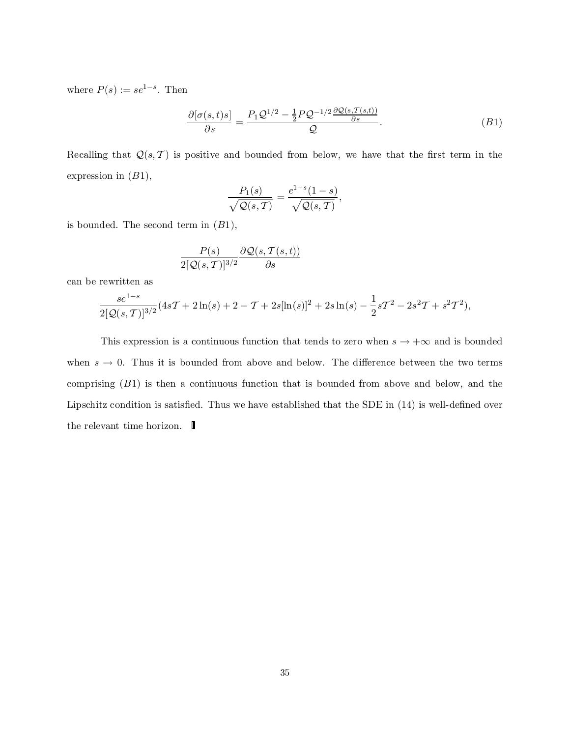where  $P(s) := s e^{1-s}$ . Then

$$
\frac{\partial[\sigma(s,t)s]}{\partial s} = \frac{P_1 \mathcal{Q}^{1/2} - \frac{1}{2} P \mathcal{Q}^{-1/2} \frac{\partial \mathcal{Q}(s, \mathcal{T}(s,t))}{\partial s}}{\mathcal{Q}}.\tag{B1}
$$

Recalling that  $\mathcal{Q}(s, T)$  is positive and bounded from below, we have that the first term in the expression in  $(B1)$ ,

$$
\frac{P_1(s)}{\sqrt{\mathcal{Q}(s,\mathcal{T})}} = \frac{e^{1-s}(1-s)}{\sqrt{\mathcal{Q}(s,\mathcal{T})}},
$$

is bounded. The second term in  $(B1)$ ,

$$
\frac{P(s)}{2[{\cal Q}(s,T)]^{3/2}}\frac{\partial {\cal Q}(s,T(s,t))}{\partial s}
$$

can be rewritten as

$$
\frac{se^{1-s}}{2[\mathcal{Q}(s,\mathcal{T})]^{3/2}}(4s\mathcal{T}+2\ln(s)+2-\mathcal{T}+2s[\ln(s)]^2+2s\ln(s)-\frac{1}{2}s\mathcal{T}^2-2s^2\mathcal{T}+s^2\mathcal{T}^2),
$$

This expression is a continuous function that tends to zero when  $s \to +\infty$  and is bounded when  $s \to 0$ . Thus it is bounded from above and below. The difference between the two terms comprising (B1) is then a continuous function that is bounded from above and below, and the Lipschitz condition is satisfied. Thus we have established that the SDE in  $(14)$  is well-defined over the relevant time horizon.  $\blacksquare$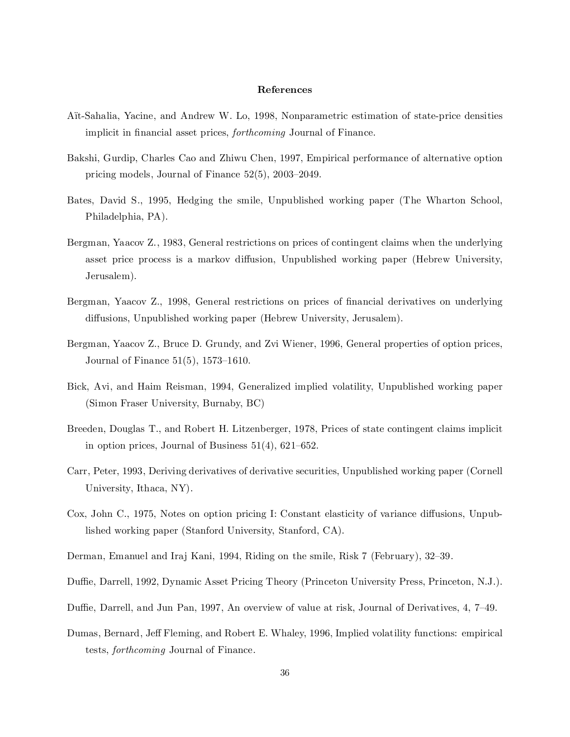#### References

- Ait-Sahalia, Yacine, and Andrew W. Lo, 1998, Nonparametric estimation of state-price densities implicit in financial asset prices, *forthcoming* Journal of Finance.
- Bakshi, Gurdip, Charles Cao and Zhiwu Chen, 1997, Empirical performance of alternative option pricing models, Journal of Finance  $52(5)$ ,  $2003-2049$ .
- Bates, David S., 1995, Hedging the smile, Unpublished working paper (The Wharton School, Philadelphia, PA).
- Bergman, Yaacov Z., 1983, General restrictions on prices of contingent claims when the underlying asset price process is a markov diffusion, Unpublished working paper (Hebrew University, Jerusalem).
- Bergman, Yaacov Z., 1998, General restrictions on prices of financial derivatives on underlying diffusions, Unpublished working paper (Hebrew University, Jerusalem).
- Bergman, Yaacov Z., Bruce D. Grundy, and Zvi Wiener, 1996, General properties of option prices, Journal of Finance  $51(5)$ , 1573–1610.
- Bick, Avi, and Haim Reisman, 1994, Generalized implied volatility, Unpublished working paper (Simon Fraser University, Burnaby, BC)
- Breeden, Douglas T., and Robert H. Litzenberger, 1978, Prices of state contingent claims implicit in option prices, Journal of Business  $51(4)$ ,  $621–652$ .
- Carr, Peter, 1993, Deriving derivatives of derivative securities, Unpublished working paper (Cornell University, Ithaca, NY).
- Cox, John C., 1975, Notes on option pricing I: Constant elasticity of variance diffusions, Unpublished working paper (Stanford University, Stanford, CA).
- Derman, Emanuel and Iraj Kani, 1994, Riding on the smile, Risk 7 (February), 32–39.
- Duffie, Darrell, 1992, Dynamic Asset Pricing Theory (Princeton University Press, Princeton, N.J.).
- Duffie, Darrell, and Jun Pan, 1997, An overview of value at risk, Journal of Derivatives, 4, 7–49.
- Dumas, Bernard, Jeff Fleming, and Robert E. Whaley, 1996, Implied volatility functions: empirical tests, forthcoming Journal of Finance.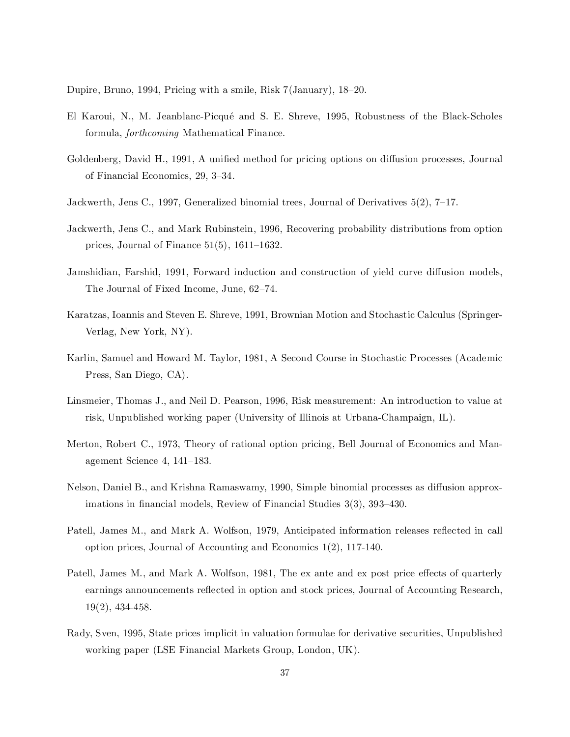Dupire, Bruno, 1994, Pricing with a smile, Risk  $7(January)$ , 18-20.

- El Karoui, N., M. Jeanblanc-Picqué and S. E. Shreve, 1995, Robustness of the Black-Scholes formula, forthcoming Mathematical Finance.
- Goldenberg, David H., 1991, A unified method for pricing options on diffusion processes, Journal of Financial Economics, 29, 3-34.
- Jackwerth, Jens C., 1997, Generalized binomial trees, Journal of Derivatives  $5(2)$ ,  $7-17$ .
- Jackwerth, Jens C., and Mark Rubinstein, 1996, Recovering probability distributions from option prices, Journal of Finance  $51(5)$ ,  $1611-1632$ .
- Jamshidian, Farshid, 1991, Forward induction and construction of yield curve diffusion models. The Journal of Fixed Income, June, 62-74.
- Karatzas, Ioannis and Steven E. Shreve, 1991, Brownian Motion and Stochastic Calculus (Springer-Verlag, New York, NY).
- Karlin, Samuel and Howard M. Taylor, 1981, A Second Course in Stochastic Processes (Academic Press, San Diego, CA).
- Linsmeier, Thomas J., and Neil D. Pearson, 1996, Risk measurement: An introduction to value at risk, Unpublished working paper (University of Illinois at Urbana-Champaign, IL).
- Merton, Robert C., 1973, Theory of rational option pricing, Bell Journal of Economics and Management Science 4,  $141-183$ .
- Nelson, Daniel B., and Krishna Ramaswamy, 1990, Simple binomial processes as diffusion approximations in financial models, Review of Financial Studies  $3(3)$ ,  $393-430$ .
- Patell, James M., and Mark A. Wolfson, 1979, Anticipated information releases reflected in call option prices, Journal of Accounting and Economics 1(2), 117-140.
- Patell, James M., and Mark A. Wolfson, 1981, The ex ante and ex post price effects of quarterly earnings announcements reflected in option and stock prices, Journal of Accounting Research, 19(2), 434-458.
- Rady, Sven, 1995, State prices implicit in valuation formulae for derivative securities, Unpublished working paper (LSE Financial Markets Group, London, UK).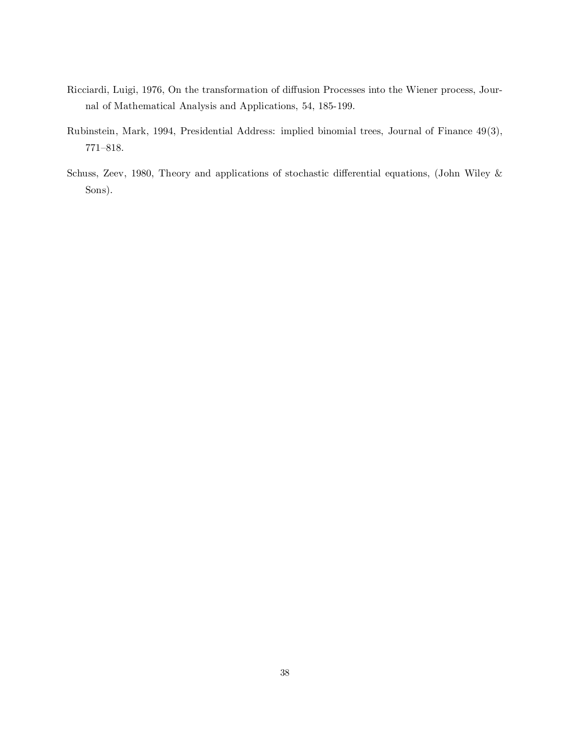- Ricciardi, Luigi, 1976, On the transformation of diffusion Processes into the Wiener process, Journal of Mathematical Analysis and Applications, 54, 185-199.
- Rubinstein, Mark, 1994, Presidential Address: implied binomial trees, Journal of Finance 49(3),  $771{-}818.$
- Schuss, Zeev, 1980, Theory and applications of stochastic differential equations, (John Wiley  $\&$ Sons).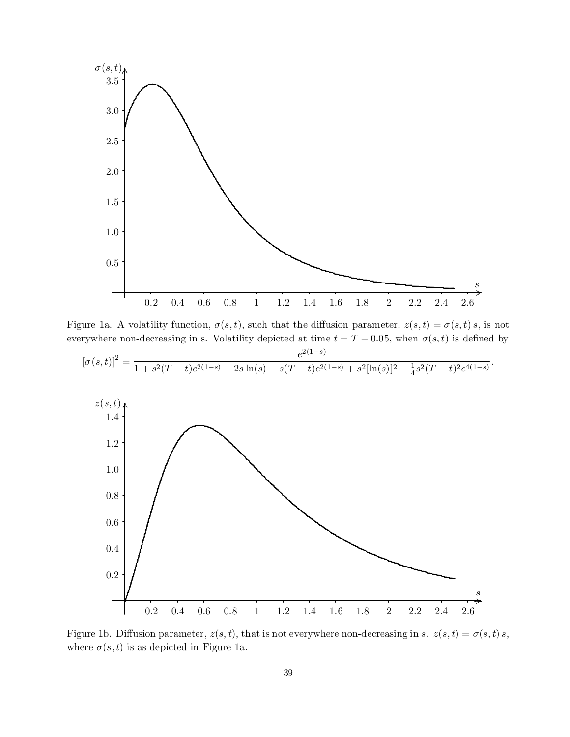

Figure 1a. A volatility function,  $\sigma(s,t)$ , such that the diffusion parameter,  $z(s,t) = \sigma(s,t) s$ , is not everywhere non-decreasing in s. Volatility depicted at time  $t = T - 0.05$ , when  $\sigma(s, t)$  is defined by

$$
[\sigma(s,t)]^2 = \frac{e^{2(1-s)}}{1 + s^2(T-t)e^{2(1-s)} + 2s\ln(s) - s(T-t)e^{2(1-s)} + s^2[\ln(s)]^2 - \frac{1}{4}s^2(T-t)^2e^{4(1-s)}}.
$$



Figure 1b. Diffusion parameter,  $z(s, t)$ , that is not everywhere non-decreasing in s.  $z(s,t) = \sigma(s,t) s$ , where  $\sigma(s,t)$  is as depicted in Figure 1a.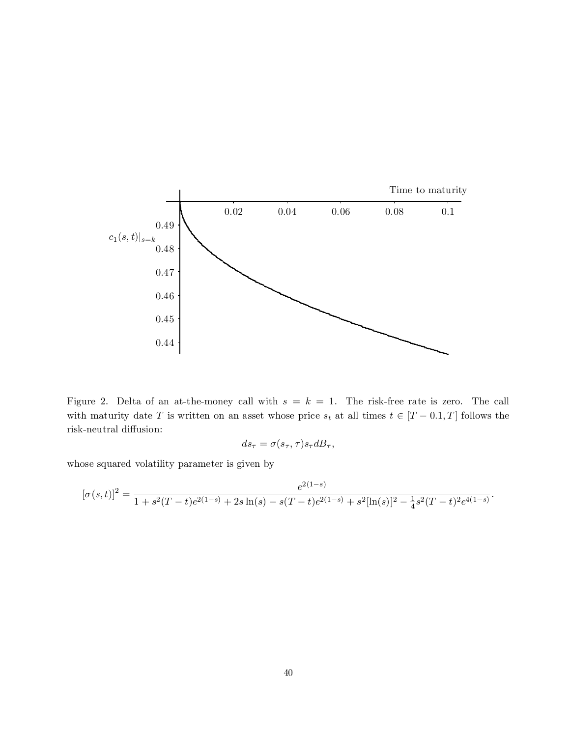

Figure 2. Delta of an at-the-money call with  $s = k = 1$ . The risk-free rate is zero. The call with maturity date T is written on an asset whose price  $s_t$  at all times  $t \in [T - 0.1, T]$  follows the  $\operatorname{risk}\!$  -neutral diffusion:

$$
ds_{\tau} = \sigma(s_{\tau}, \tau) s_{\tau} dB_{\tau},
$$

whose squared volatility parameter is given by

$$
[\sigma(s,t)]^2 = \frac{e^{2(1-s)}}{1 + s^2(T-t)e^{2(1-s)} + 2s\ln(s) - s(T-t)e^{2(1-s)} + s^2[\ln(s)]^2 - \frac{1}{4}s^2(T-t)^2e^{4(1-s)}}.
$$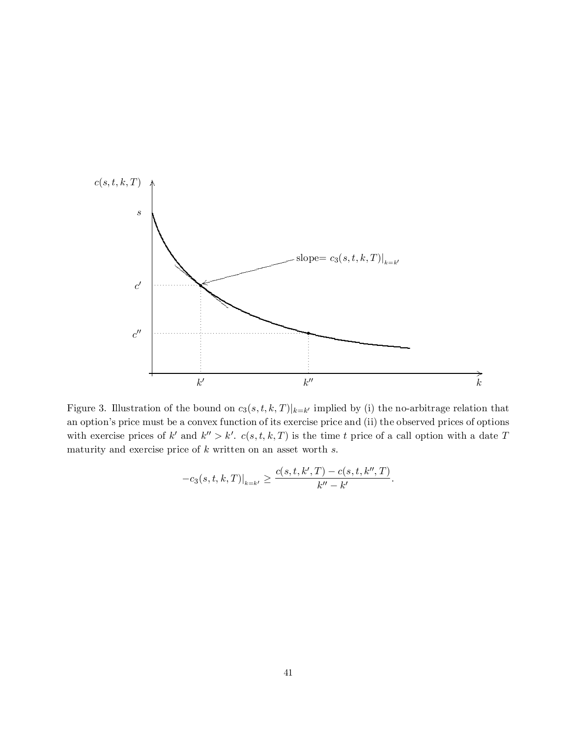

Figure 3. Illustration of the bound on  $c_3(s,t,k,T)|_{k=k'}$  implied by (i) the no-arbitrage relation that an option's price must be a convex function of its exercise price and (ii) the observed prices of options with exercise prices of k' and  $k'' > k'$ .  $c(s,t,k,T)$  is the time t price of a call option with a date T maturity and exercise price of  $k$  written on an asset worth  $s$ .

$$
-c_3(s,t,k,T)|_{k=k'} \geq \frac{c(s,t,k',T) - c(s,t,k'',T)}{k'' - k'}.
$$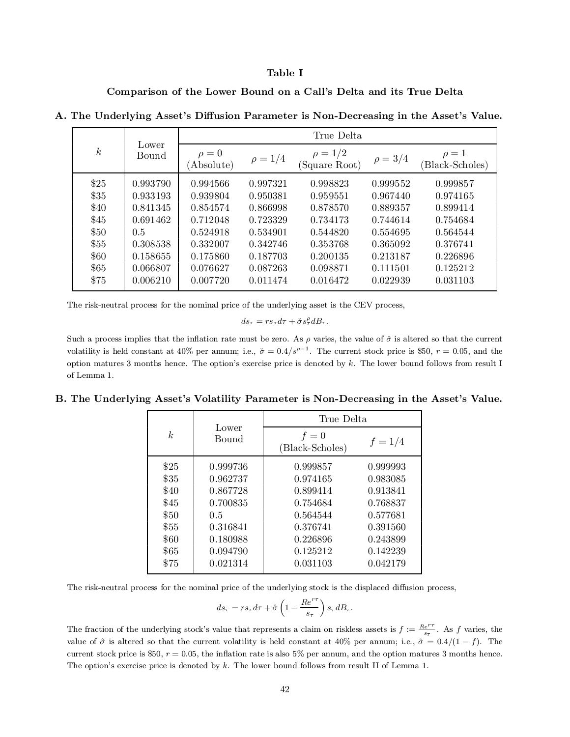#### Table I

Comparison of the Lower Bound on a Call's Delta and its True Delta

| $\boldsymbol{k}$ | Lower<br>Bound | True Delta               |              |                               |              |                               |  |
|------------------|----------------|--------------------------|--------------|-------------------------------|--------------|-------------------------------|--|
|                  |                | $\rho = 0$<br>(Absolute) | $\rho = 1/4$ | $\rho = 1/2$<br>(Square Root) | $\rho = 3/4$ | $\rho = 1$<br>(Black-Scholes) |  |
| \$25             | 0.993790       | 0.994566                 | 0.997321     | 0.998823                      | 0.999552     | 0.999857                      |  |
| \$35             | 0.933193       | 0.939804                 | 0.950381     | 0.959551                      | 0.967440     | 0.974165                      |  |
| \$40             | 0.841345       | 0.854574                 | 0.866998     | 0.878570                      | 0.889357     | 0.899414                      |  |
| \$45             | 0.691462       | 0.712048                 | 0.723329     | 0.734173                      | 0.744614     | 0.754684                      |  |
| \$50             | $0.5^{\circ}$  | 0.524918                 | 0.534901     | 0.544820                      | 0.554695     | 0.564544                      |  |
| \$55             | 0.308538       | 0.332007                 | 0.342746     | 0.353768                      | 0.365092     | 0.376741                      |  |
| \$60             | 0.158655       | 0.175860                 | 0.187703     | 0.200135                      | 0.213187     | 0.226896                      |  |
| \$65             | 0.066807       | 0.076627                 | 0.087263     | 0.098871                      | 0.111501     | 0.125212                      |  |
| \$75             | 0.006210       | 0.007720                 | 0.011474     | 0.016472                      | 0.022939     | 0.031103                      |  |

A. The Underlying Asset's Diffusion Parameter is Non-Decreasing in the Asset's Value.

The risk-neutral process for the nominal price of the underlying asset is the CEV process,

 $ds_{\tau} = rs_{\tau}d\tau + \check{\sigma}s^{\rho}_{\tau}dB_{\tau}.$ 

Such a process implies that the inflation rate must be zero. As  $\rho$  varies, the value of  $\check{\sigma}$  is altered so that the current volatility is held constant at 40% per annum; i.e.,  $\check{\sigma} = 0.4/s^{\rho-1}$ . The current stock price is \$50,  $r = 0.05$ , and the option matures 3 months hence. The option's exercise price is denoted by  $k$ . The lower bound follows from result I of Lemma 1.

# B. The Underlying Asset's Volatility Parameter is Non-Decreasing in the Asset's Value.

| k    | Lower    | True Delta               |           |  |  |
|------|----------|--------------------------|-----------|--|--|
|      | Bound    | $f=0$<br>(Black-Scholes) | $f = 1/4$ |  |  |
| \$25 | 0.999736 | 0.999857                 | 0.999993  |  |  |
| \$35 | 0.962737 | 0.974165                 | 0.983085  |  |  |
| \$40 | 0.867728 | 0.899414                 | 0.913841  |  |  |
| \$45 | 0.700835 | 0.754684                 | 0.768837  |  |  |
| \$50 | 0.5      | 0.564544                 | 0.577681  |  |  |
| \$55 | 0.316841 | 0.376741                 | 0.391560  |  |  |
| \$60 | 0.180988 | 0.226896                 | 0.243899  |  |  |
| \$65 | 0.094790 | 0.125212                 | 0.142239  |  |  |
| \$75 | 0.021314 | 0.031103                 | 0.042179  |  |  |

The risk-neutral process for the nominal price of the underlying stock is the displaced diffusion process,

$$
ds_{\tau} = rs_{\tau} d\tau + \hat{\sigma} \left( 1 - \frac{Re^{r\tau}}{s_{\tau}} \right) s_{\tau} dB_{\tau}.
$$

The fraction of the underlying stock's value that represents a claim on riskless assets is  $f := \frac{Re^{rr}}{s}$  $\frac{e}{s_{\tau}}$ . As f varies, the value of  $\hat{\sigma}$  is altered so that the current volatility is held constant at 40% per annum; i.e.,  $\hat{\sigma} = 0.4/(1 - f)$ . The current stock price is \$50,  $r = 0.05$ , the inflation rate is also 5% per annum, and the option matures 3 months hence. The option's exercise price is denoted by  $k$ . The lower bound follows from result II of Lemma 1.